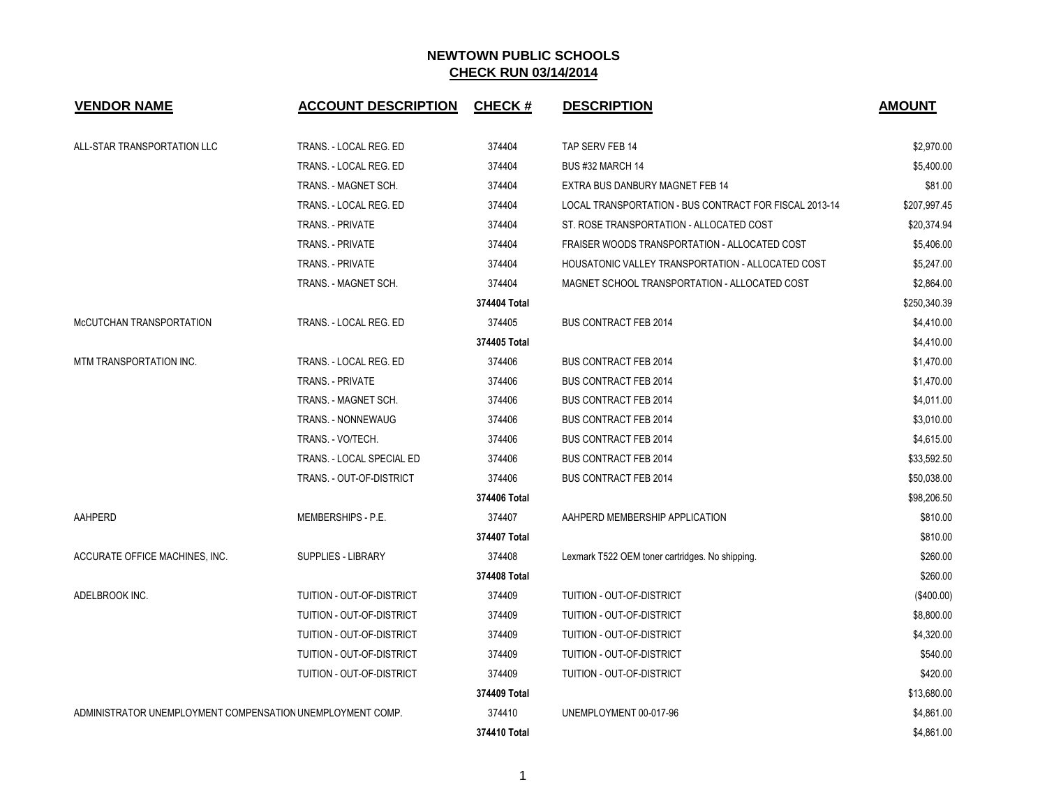| <b>VENDOR NAME</b>                                         | <b>ACCOUNT DESCRIPTION</b> | <b>CHECK#</b> | <b>DESCRIPTION</b>                                     | <b>AMOUNT</b> |
|------------------------------------------------------------|----------------------------|---------------|--------------------------------------------------------|---------------|
| ALL-STAR TRANSPORTATION LLC                                | TRANS. - LOCAL REG. ED     | 374404        | TAP SERV FEB 14                                        | \$2,970.00    |
|                                                            | TRANS. - LOCAL REG. ED     | 374404        | BUS #32 MARCH 14                                       | \$5,400.00    |
|                                                            | TRANS. - MAGNET SCH.       | 374404        | EXTRA BUS DANBURY MAGNET FEB 14                        | \$81.00       |
|                                                            | TRANS. - LOCAL REG. ED     | 374404        | LOCAL TRANSPORTATION - BUS CONTRACT FOR FISCAL 2013-14 | \$207,997.45  |
|                                                            | <b>TRANS. - PRIVATE</b>    | 374404        | ST. ROSE TRANSPORTATION - ALLOCATED COST               | \$20,374.94   |
|                                                            | <b>TRANS. - PRIVATE</b>    | 374404        | FRAISER WOODS TRANSPORTATION - ALLOCATED COST          | \$5,406.00    |
|                                                            | <b>TRANS. - PRIVATE</b>    | 374404        | HOUSATONIC VALLEY TRANSPORTATION - ALLOCATED COST      | \$5,247.00    |
|                                                            | TRANS. - MAGNET SCH.       | 374404        | MAGNET SCHOOL TRANSPORTATION - ALLOCATED COST          | \$2,864.00    |
|                                                            |                            | 374404 Total  |                                                        | \$250,340.39  |
| McCUTCHAN TRANSPORTATION                                   | TRANS. - LOCAL REG. ED     | 374405        | <b>BUS CONTRACT FEB 2014</b>                           | \$4,410.00    |
|                                                            |                            | 374405 Total  |                                                        | \$4,410.00    |
| MTM TRANSPORTATION INC.                                    | TRANS. - LOCAL REG. ED     | 374406        | <b>BUS CONTRACT FEB 2014</b>                           | \$1,470.00    |
|                                                            | TRANS. - PRIVATE           | 374406        | <b>BUS CONTRACT FEB 2014</b>                           | \$1,470.00    |
|                                                            | TRANS. - MAGNET SCH.       | 374406        | <b>BUS CONTRACT FEB 2014</b>                           | \$4,011.00    |
|                                                            | TRANS. - NONNEWAUG         | 374406        | <b>BUS CONTRACT FEB 2014</b>                           | \$3,010.00    |
|                                                            | TRANS. - VO/TECH.          | 374406        | <b>BUS CONTRACT FEB 2014</b>                           | \$4,615.00    |
|                                                            | TRANS. - LOCAL SPECIAL ED  | 374406        | <b>BUS CONTRACT FEB 2014</b>                           | \$33,592.50   |
|                                                            | TRANS. - OUT-OF-DISTRICT   | 374406        | <b>BUS CONTRACT FEB 2014</b>                           | \$50,038.00   |
|                                                            |                            | 374406 Total  |                                                        | \$98,206.50   |
| AAHPERD                                                    | MEMBERSHIPS - P.E.         | 374407        | AAHPERD MEMBERSHIP APPLICATION                         | \$810.00      |
|                                                            |                            | 374407 Total  |                                                        | \$810.00      |
| ACCURATE OFFICE MACHINES. INC.                             | <b>SUPPLIES - LIBRARY</b>  | 374408        | Lexmark T522 OEM toner cartridges. No shipping.        | \$260.00      |
|                                                            |                            | 374408 Total  |                                                        | \$260.00      |
| ADELBROOK INC.                                             | TUITION - OUT-OF-DISTRICT  | 374409        | TUITION - OUT-OF-DISTRICT                              | (\$400.00)    |
|                                                            | TUITION - OUT-OF-DISTRICT  | 374409        | TUITION - OUT-OF-DISTRICT                              | \$8,800.00    |
|                                                            | TUITION - OUT-OF-DISTRICT  | 374409        | TUITION - OUT-OF-DISTRICT                              | \$4,320.00    |
|                                                            | TUITION - OUT-OF-DISTRICT  | 374409        | TUITION - OUT-OF-DISTRICT                              | \$540.00      |
|                                                            | TUITION - OUT-OF-DISTRICT  | 374409        | TUITION - OUT-OF-DISTRICT                              | \$420.00      |
|                                                            |                            | 374409 Total  |                                                        | \$13,680.00   |
| ADMINISTRATOR UNEMPLOYMENT COMPENSATION UNEMPLOYMENT COMP. |                            | 374410        | UNEMPLOYMENT 00-017-96                                 | \$4,861.00    |
|                                                            |                            | 374410 Total  |                                                        | \$4,861.00    |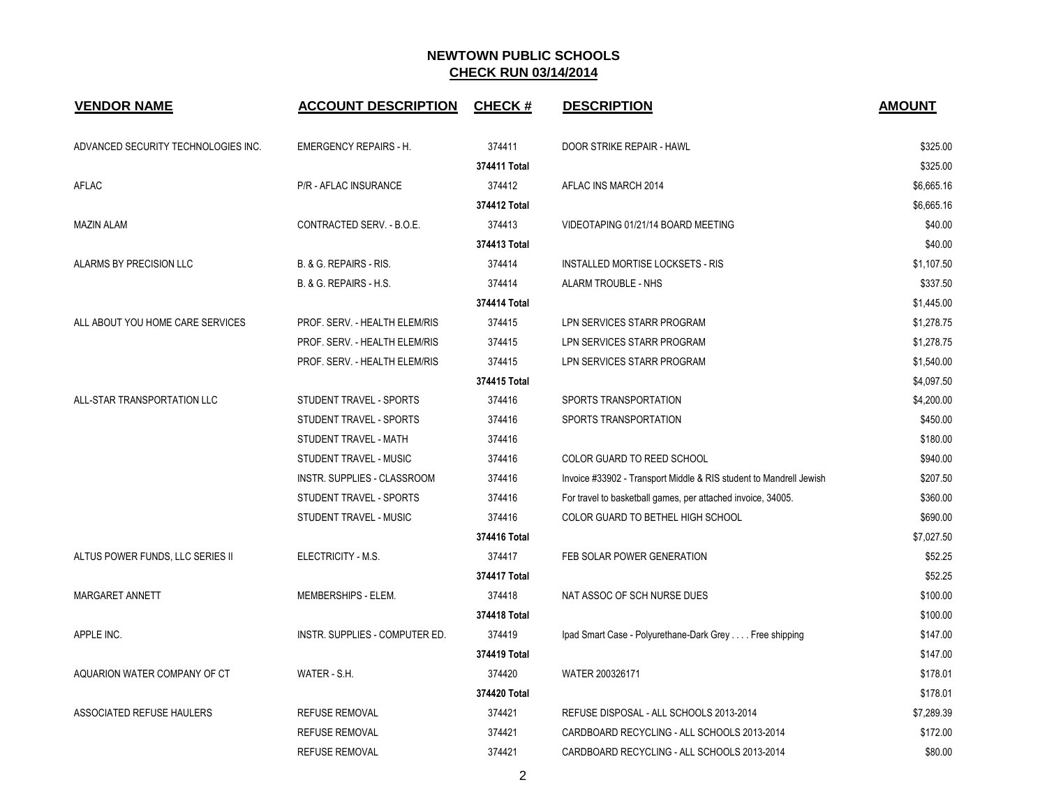| <b>VENDOR NAME</b>                  | <b>ACCOUNT DESCRIPTION</b>     | <b>CHECK#</b> | <b>DESCRIPTION</b>                                                 | <b>AMOUNT</b> |
|-------------------------------------|--------------------------------|---------------|--------------------------------------------------------------------|---------------|
| ADVANCED SECURITY TECHNOLOGIES INC. | <b>EMERGENCY REPAIRS - H.</b>  | 374411        | DOOR STRIKE REPAIR - HAWL                                          | \$325.00      |
|                                     |                                | 374411 Total  |                                                                    | \$325.00      |
| <b>AFLAC</b>                        | P/R - AFLAC INSURANCE          | 374412        | AFLAC INS MARCH 2014                                               | \$6,665.16    |
|                                     |                                | 374412 Total  |                                                                    | \$6,665.16    |
| <b>MAZIN ALAM</b>                   | CONTRACTED SERV. - B.O.E.      | 374413        | VIDEOTAPING 01/21/14 BOARD MEETING                                 | \$40.00       |
|                                     |                                | 374413 Total  |                                                                    | \$40.00       |
| ALARMS BY PRECISION LLC             | B. & G. REPAIRS - RIS.         | 374414        | INSTALLED MORTISE LOCKSETS - RIS                                   | \$1,107.50    |
|                                     | B. & G. REPAIRS - H.S.         | 374414        | ALARM TROUBLE - NHS                                                | \$337.50      |
|                                     |                                | 374414 Total  |                                                                    | \$1,445.00    |
| ALL ABOUT YOU HOME CARE SERVICES    | PROF. SERV. - HEALTH ELEM/RIS  | 374415        | LPN SERVICES STARR PROGRAM                                         | \$1,278.75    |
|                                     | PROF. SERV. - HEALTH ELEM/RIS  | 374415        | LPN SERVICES STARR PROGRAM                                         | \$1,278.75    |
|                                     | PROF. SERV. - HEALTH ELEM/RIS  | 374415        | LPN SERVICES STARR PROGRAM                                         | \$1,540.00    |
|                                     |                                | 374415 Total  |                                                                    | \$4,097.50    |
| ALL-STAR TRANSPORTATION LLC         | STUDENT TRAVEL - SPORTS        | 374416        | SPORTS TRANSPORTATION                                              | \$4,200.00    |
|                                     | STUDENT TRAVEL - SPORTS        | 374416        | SPORTS TRANSPORTATION                                              | \$450.00      |
|                                     | STUDENT TRAVEL - MATH          | 374416        |                                                                    | \$180.00      |
|                                     | STUDENT TRAVEL - MUSIC         | 374416        | COLOR GUARD TO REED SCHOOL                                         | \$940.00      |
|                                     | INSTR. SUPPLIES - CLASSROOM    | 374416        | Invoice #33902 - Transport Middle & RIS student to Mandrell Jewish | \$207.50      |
|                                     | STUDENT TRAVEL - SPORTS        | 374416        | For travel to basketball games, per attached invoice, 34005.       | \$360.00      |
|                                     | STUDENT TRAVEL - MUSIC         | 374416        | COLOR GUARD TO BETHEL HIGH SCHOOL                                  | \$690.00      |
|                                     |                                | 374416 Total  |                                                                    | \$7,027.50    |
| ALTUS POWER FUNDS, LLC SERIES II    | ELECTRICITY - M.S.             | 374417        | FEB SOLAR POWER GENERATION                                         | \$52.25       |
|                                     |                                | 374417 Total  |                                                                    | \$52.25       |
| MARGARET ANNETT                     | MEMBERSHIPS - ELEM.            | 374418        | NAT ASSOC OF SCH NURSE DUES                                        | \$100.00      |
|                                     |                                | 374418 Total  |                                                                    | \$100.00      |
| APPLE INC.                          | INSTR. SUPPLIES - COMPUTER ED. | 374419        | Ipad Smart Case - Polyurethane-Dark Grey Free shipping             | \$147.00      |
|                                     |                                | 374419 Total  |                                                                    | \$147.00      |
| AQUARION WATER COMPANY OF CT        | WATER - S.H.                   | 374420        | WATER 200326171                                                    | \$178.01      |
|                                     |                                | 374420 Total  |                                                                    | \$178.01      |
| ASSOCIATED REFUSE HAULERS           | <b>REFUSE REMOVAL</b>          | 374421        | REFUSE DISPOSAL - ALL SCHOOLS 2013-2014                            | \$7,289.39    |
|                                     | <b>REFUSE REMOVAL</b>          | 374421        | CARDBOARD RECYCLING - ALL SCHOOLS 2013-2014                        | \$172.00      |
|                                     | <b>REFUSE REMOVAL</b>          | 374421        | CARDBOARD RECYCLING - ALL SCHOOLS 2013-2014                        | \$80.00       |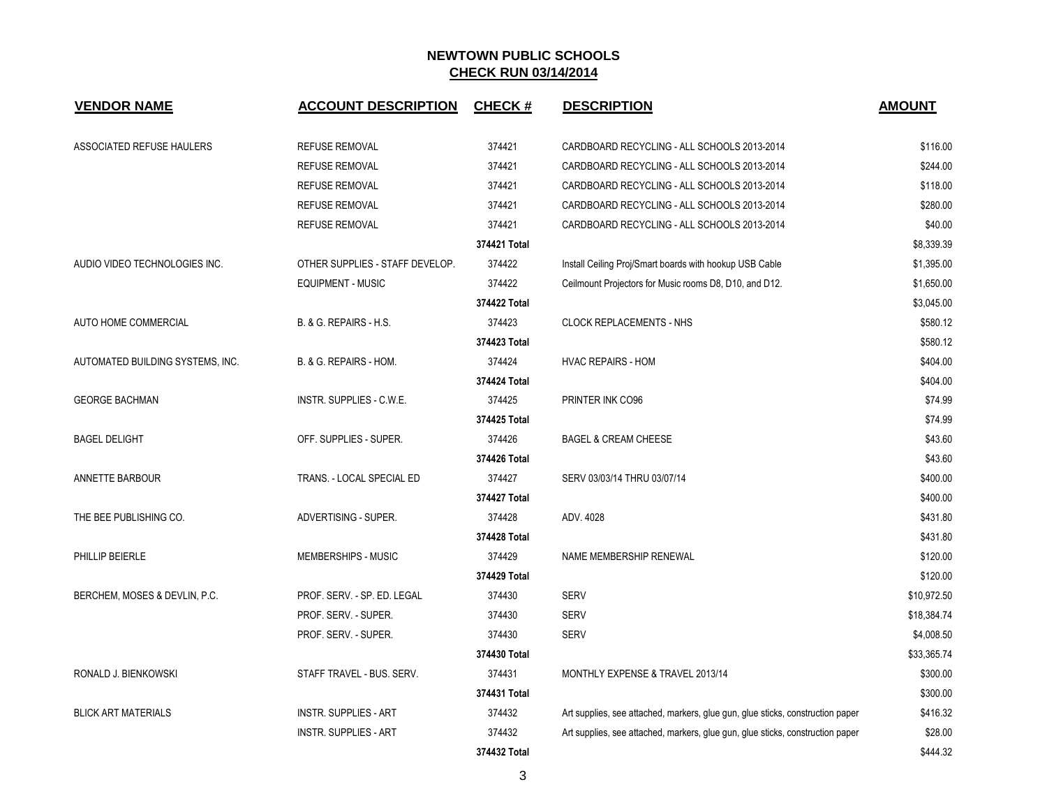| <b>VENDOR NAME</b>               | <b>ACCOUNT DESCRIPTION</b>      | <b>CHECK#</b> | <b>DESCRIPTION</b>                                                             | <b>AMOUNT</b> |
|----------------------------------|---------------------------------|---------------|--------------------------------------------------------------------------------|---------------|
| ASSOCIATED REFUSE HAULERS        | <b>REFUSE REMOVAL</b>           | 374421        | CARDBOARD RECYCLING - ALL SCHOOLS 2013-2014                                    | \$116.00      |
|                                  | <b>REFUSE REMOVAL</b>           | 374421        | CARDBOARD RECYCLING - ALL SCHOOLS 2013-2014                                    | \$244.00      |
|                                  | <b>REFUSE REMOVAL</b>           | 374421        | CARDBOARD RECYCLING - ALL SCHOOLS 2013-2014                                    | \$118.00      |
|                                  | <b>REFUSE REMOVAL</b>           | 374421        | CARDBOARD RECYCLING - ALL SCHOOLS 2013-2014                                    | \$280.00      |
|                                  | <b>REFUSE REMOVAL</b>           | 374421        | CARDBOARD RECYCLING - ALL SCHOOLS 2013-2014                                    | \$40.00       |
|                                  |                                 | 374421 Total  |                                                                                | \$8,339.39    |
| AUDIO VIDEO TECHNOLOGIES INC.    | OTHER SUPPLIES - STAFF DEVELOP. | 374422        | Install Ceiling Proj/Smart boards with hookup USB Cable                        | \$1,395.00    |
|                                  | <b>EQUIPMENT - MUSIC</b>        | 374422        | Ceilmount Projectors for Music rooms D8, D10, and D12.                         | \$1,650.00    |
|                                  |                                 | 374422 Total  |                                                                                | \$3,045.00    |
| AUTO HOME COMMERCIAL             | B. & G. REPAIRS - H.S.          | 374423        | <b>CLOCK REPLACEMENTS - NHS</b>                                                | \$580.12      |
|                                  |                                 | 374423 Total  |                                                                                | \$580.12      |
| AUTOMATED BUILDING SYSTEMS, INC. | B. & G. REPAIRS - HOM.          | 374424        | <b>HVAC REPAIRS - HOM</b>                                                      | \$404.00      |
|                                  |                                 | 374424 Total  |                                                                                | \$404.00      |
| <b>GEORGE BACHMAN</b>            | <b>INSTR. SUPPLIES - C.W.E.</b> | 374425        | PRINTER INK CO96                                                               | \$74.99       |
|                                  |                                 | 374425 Total  |                                                                                | \$74.99       |
| <b>BAGEL DELIGHT</b>             | OFF. SUPPLIES - SUPER.          | 374426        | <b>BAGEL &amp; CREAM CHEESE</b>                                                | \$43.60       |
|                                  |                                 | 374426 Total  |                                                                                | \$43.60       |
| ANNETTE BARBOUR                  | TRANS. - LOCAL SPECIAL ED       | 374427        | SERV 03/03/14 THRU 03/07/14                                                    | \$400.00      |
|                                  |                                 | 374427 Total  |                                                                                | \$400.00      |
| THE BEE PUBLISHING CO.           | ADVERTISING - SUPER.            | 374428        | ADV. 4028                                                                      | \$431.80      |
|                                  |                                 | 374428 Total  |                                                                                | \$431.80      |
| PHILLIP BEIERLE                  | MEMBERSHIPS - MUSIC             | 374429        | NAME MEMBERSHIP RENEWAL                                                        | \$120.00      |
|                                  |                                 | 374429 Total  |                                                                                | \$120.00      |
| BERCHEM, MOSES & DEVLIN, P.C.    | PROF. SERV. - SP. ED. LEGAL     | 374430        | <b>SERV</b>                                                                    | \$10,972.50   |
|                                  | PROF. SERV. - SUPER.            | 374430        | <b>SERV</b>                                                                    | \$18,384.74   |
|                                  | PROF. SERV. - SUPER.            | 374430        | <b>SERV</b>                                                                    | \$4,008.50    |
|                                  |                                 | 374430 Total  |                                                                                | \$33,365.74   |
| RONALD J. BIENKOWSKI             | STAFF TRAVEL - BUS. SERV.       | 374431        | MONTHLY EXPENSE & TRAVEL 2013/14                                               | \$300.00      |
|                                  |                                 | 374431 Total  |                                                                                | \$300.00      |
| <b>BLICK ART MATERIALS</b>       | <b>INSTR. SUPPLIES - ART</b>    | 374432        | Art supplies, see attached, markers, glue gun, glue sticks, construction paper | \$416.32      |
|                                  | <b>INSTR. SUPPLIES - ART</b>    | 374432        | Art supplies, see attached, markers, glue gun, glue sticks, construction paper | \$28.00       |
|                                  |                                 | 374432 Total  |                                                                                | \$444.32      |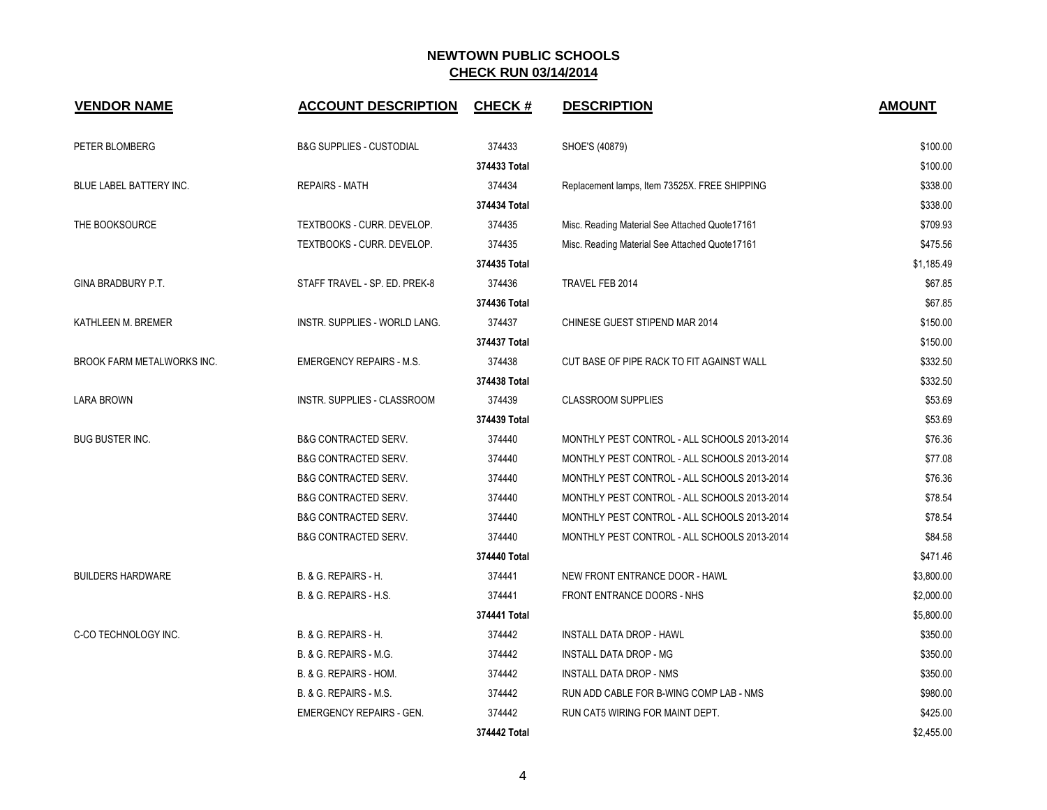| <b>VENDOR NAME</b>         | <b>ACCOUNT DESCRIPTION</b>          | <b>CHECK#</b> | <b>DESCRIPTION</b>                             | <b>AMOUNT</b> |
|----------------------------|-------------------------------------|---------------|------------------------------------------------|---------------|
| PETER BLOMBERG             | <b>B&amp;G SUPPLIES - CUSTODIAL</b> | 374433        | SHOE'S (40879)                                 | \$100.00      |
|                            |                                     | 374433 Total  |                                                | \$100.00      |
| BLUE LABEL BATTERY INC.    | <b>REPAIRS - MATH</b>               | 374434        | Replacement lamps, Item 73525X. FREE SHIPPING  | \$338.00      |
|                            |                                     | 374434 Total  |                                                | \$338.00      |
| THE BOOKSOURCE             | TEXTBOOKS - CURR. DEVELOP.          | 374435        | Misc. Reading Material See Attached Quote17161 | \$709.93      |
|                            | TEXTBOOKS - CURR. DEVELOP.          | 374435        | Misc. Reading Material See Attached Quote17161 | \$475.56      |
|                            |                                     | 374435 Total  |                                                | \$1,185.49    |
| GINA BRADBURY P.T.         | STAFF TRAVEL - SP. ED. PREK-8       | 374436        | TRAVEL FEB 2014                                | \$67.85       |
|                            |                                     | 374436 Total  |                                                | \$67.85       |
| KATHLEEN M. BREMER         | INSTR. SUPPLIES - WORLD LANG.       | 374437        | CHINESE GUEST STIPEND MAR 2014                 | \$150.00      |
|                            |                                     | 374437 Total  |                                                | \$150.00      |
| BROOK FARM METALWORKS INC. | <b>EMERGENCY REPAIRS - M.S.</b>     | 374438        | CUT BASE OF PIPE RACK TO FIT AGAINST WALL      | \$332.50      |
|                            |                                     | 374438 Total  |                                                | \$332.50      |
| <b>LARA BROWN</b>          | INSTR. SUPPLIES - CLASSROOM         | 374439        | <b>CLASSROOM SUPPLIES</b>                      | \$53.69       |
|                            |                                     | 374439 Total  |                                                | \$53.69       |
| <b>BUG BUSTER INC.</b>     | <b>B&amp;G CONTRACTED SERV.</b>     | 374440        | MONTHLY PEST CONTROL - ALL SCHOOLS 2013-2014   | \$76.36       |
|                            | <b>B&amp;G CONTRACTED SERV.</b>     | 374440        | MONTHLY PEST CONTROL - ALL SCHOOLS 2013-2014   | \$77.08       |
|                            | <b>B&amp;G CONTRACTED SERV.</b>     | 374440        | MONTHLY PEST CONTROL - ALL SCHOOLS 2013-2014   | \$76.36       |
|                            | <b>B&amp;G CONTRACTED SERV.</b>     | 374440        | MONTHLY PEST CONTROL - ALL SCHOOLS 2013-2014   | \$78.54       |
|                            | <b>B&amp;G CONTRACTED SERV.</b>     | 374440        | MONTHLY PEST CONTROL - ALL SCHOOLS 2013-2014   | \$78.54       |
|                            | <b>B&amp;G CONTRACTED SERV.</b>     | 374440        | MONTHLY PEST CONTROL - ALL SCHOOLS 2013-2014   | \$84.58       |
|                            |                                     | 374440 Total  |                                                | \$471.46      |
| <b>BUILDERS HARDWARE</b>   | B. & G. REPAIRS - H.                | 374441        | NEW FRONT ENTRANCE DOOR - HAWL                 | \$3,800.00    |
|                            | B. & G. REPAIRS - H.S.              | 374441        | FRONT ENTRANCE DOORS - NHS                     | \$2,000.00    |
|                            |                                     | 374441 Total  |                                                | \$5,800.00    |
| C-CO TECHNOLOGY INC.       | B. & G. REPAIRS - H.                | 374442        | INSTALL DATA DROP - HAWL                       | \$350.00      |
|                            | B. & G. REPAIRS - M.G.              | 374442        | INSTALL DATA DROP - MG                         | \$350.00      |
|                            | B. & G. REPAIRS - HOM.              | 374442        | <b>INSTALL DATA DROP - NMS</b>                 | \$350.00      |
|                            | B. & G. REPAIRS - M.S.              | 374442        | RUN ADD CABLE FOR B-WING COMP LAB - NMS        | \$980.00      |
|                            | <b>EMERGENCY REPAIRS - GEN.</b>     | 374442        | RUN CAT5 WIRING FOR MAINT DEPT.                | \$425.00      |
|                            |                                     | 374442 Total  |                                                | \$2,455.00    |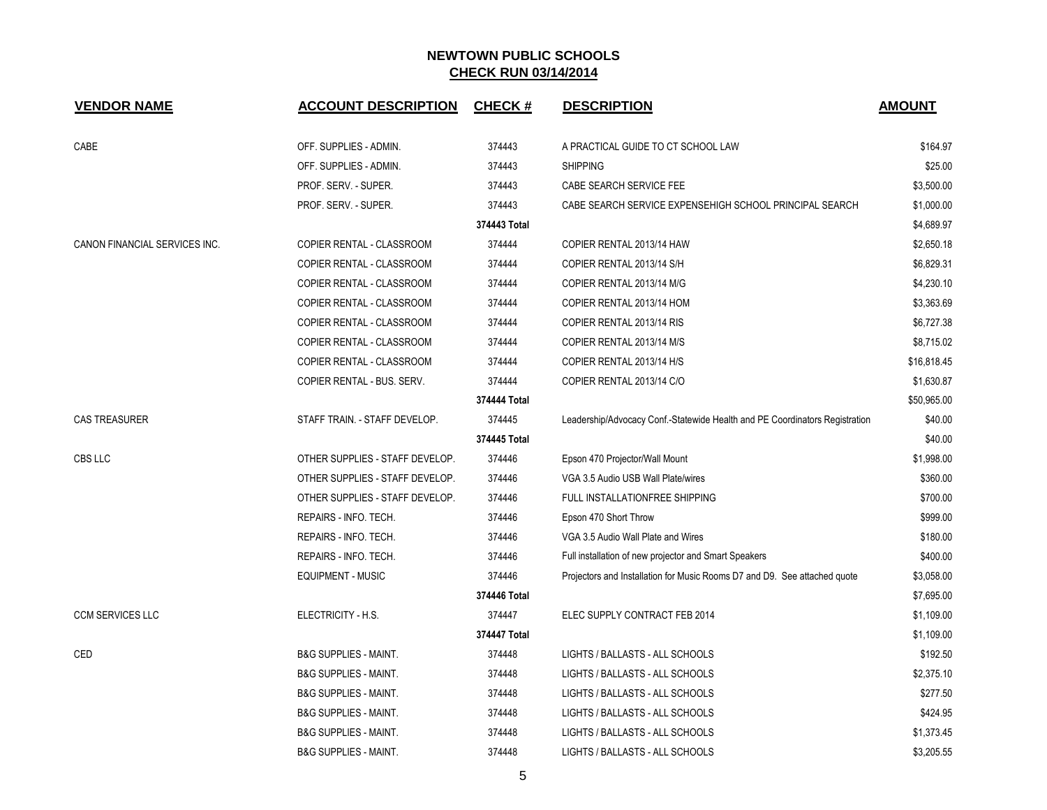| <b>VENDOR NAME</b>            | <b>ACCOUNT DESCRIPTION</b>       | <b>CHECK#</b> | <b>DESCRIPTION</b>                                                          | <b>AMOUNT</b> |
|-------------------------------|----------------------------------|---------------|-----------------------------------------------------------------------------|---------------|
| CABE                          | OFF. SUPPLIES - ADMIN.           | 374443        | A PRACTICAL GUIDE TO CT SCHOOL LAW                                          | \$164.97      |
|                               | OFF. SUPPLIES - ADMIN.           | 374443        | <b>SHIPPING</b>                                                             | \$25.00       |
|                               | PROF. SERV. - SUPER.             | 374443        | CABE SEARCH SERVICE FEE                                                     | \$3,500.00    |
|                               | PROF. SERV. - SUPER.             | 374443        | CABE SEARCH SERVICE EXPENSEHIGH SCHOOL PRINCIPAL SEARCH                     | \$1,000.00    |
|                               |                                  | 374443 Total  |                                                                             | \$4,689.97    |
| CANON FINANCIAL SERVICES INC. | COPIER RENTAL - CLASSROOM        | 374444        | COPIER RENTAL 2013/14 HAW                                                   | \$2,650.18    |
|                               | COPIER RENTAL - CLASSROOM        | 374444        | COPIER RENTAL 2013/14 S/H                                                   | \$6,829.31    |
|                               | COPIER RENTAL - CLASSROOM        | 374444        | COPIER RENTAL 2013/14 M/G                                                   | \$4,230.10    |
|                               | COPIER RENTAL - CLASSROOM        | 374444        | COPIER RENTAL 2013/14 HOM                                                   | \$3,363.69    |
|                               | COPIER RENTAL - CLASSROOM        | 374444        | COPIER RENTAL 2013/14 RIS                                                   | \$6,727.38    |
|                               | COPIER RENTAL - CLASSROOM        | 374444        | COPIER RENTAL 2013/14 M/S                                                   | \$8,715.02    |
|                               | COPIER RENTAL - CLASSROOM        | 374444        | COPIER RENTAL 2013/14 H/S                                                   | \$16,818.45   |
|                               | COPIER RENTAL - BUS. SERV.       | 374444        | COPIER RENTAL 2013/14 C/O                                                   | \$1,630.87    |
|                               |                                  | 374444 Total  |                                                                             | \$50,965.00   |
| <b>CAS TREASURER</b>          | STAFF TRAIN. - STAFF DEVELOP.    | 374445        | Leadership/Advocacy Conf.-Statewide Health and PE Coordinators Registration | \$40.00       |
|                               |                                  | 374445 Total  |                                                                             | \$40.00       |
| CBS LLC                       | OTHER SUPPLIES - STAFF DEVELOP.  | 374446        | Epson 470 Projector/Wall Mount                                              | \$1,998.00    |
|                               | OTHER SUPPLIES - STAFF DEVELOP.  | 374446        | VGA 3.5 Audio USB Wall Plate/wires                                          | \$360.00      |
|                               | OTHER SUPPLIES - STAFF DEVELOP.  | 374446        | FULL INSTALLATIONFREE SHIPPING                                              | \$700.00      |
|                               | REPAIRS - INFO. TECH.            | 374446        | Epson 470 Short Throw                                                       | \$999.00      |
|                               | REPAIRS - INFO. TECH.            | 374446        | VGA 3.5 Audio Wall Plate and Wires                                          | \$180.00      |
|                               | REPAIRS - INFO. TECH.            | 374446        | Full installation of new projector and Smart Speakers                       | \$400.00      |
|                               | <b>EQUIPMENT - MUSIC</b>         | 374446        | Projectors and Installation for Music Rooms D7 and D9. See attached quote   | \$3,058.00    |
|                               |                                  | 374446 Total  |                                                                             | \$7,695.00    |
| <b>CCM SERVICES LLC</b>       | ELECTRICITY - H.S.               | 374447        | ELEC SUPPLY CONTRACT FEB 2014                                               | \$1,109.00    |
|                               |                                  | 374447 Total  |                                                                             | \$1,109.00    |
| CED                           | <b>B&amp;G SUPPLIES - MAINT.</b> | 374448        | LIGHTS / BALLASTS - ALL SCHOOLS                                             | \$192.50      |
|                               | <b>B&amp;G SUPPLIES - MAINT.</b> | 374448        | LIGHTS / BALLASTS - ALL SCHOOLS                                             | \$2,375.10    |
|                               | <b>B&amp;G SUPPLIES - MAINT.</b> | 374448        | LIGHTS / BALLASTS - ALL SCHOOLS                                             | \$277.50      |
|                               | <b>B&amp;G SUPPLIES - MAINT.</b> | 374448        | LIGHTS / BALLASTS - ALL SCHOOLS                                             | \$424.95      |
|                               | <b>B&amp;G SUPPLIES - MAINT.</b> | 374448        | LIGHTS / BALLASTS - ALL SCHOOLS                                             | \$1,373.45    |
|                               | <b>B&amp;G SUPPLIES - MAINT.</b> | 374448        | LIGHTS / BALLASTS - ALL SCHOOLS                                             | \$3,205.55    |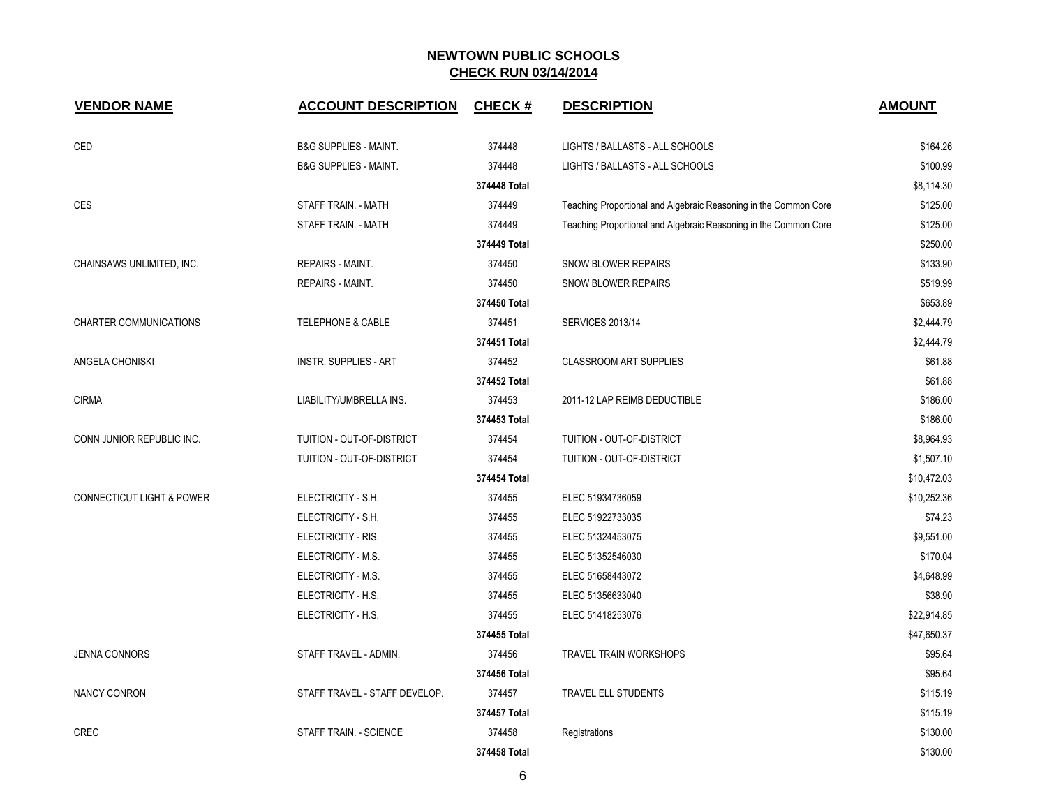| <b>VENDOR NAME</b>                   | <b>ACCOUNT DESCRIPTION</b>       | <b>CHECK#</b> | <b>DESCRIPTION</b>                                               | <b>AMOUNT</b> |
|--------------------------------------|----------------------------------|---------------|------------------------------------------------------------------|---------------|
| CED                                  | <b>B&amp;G SUPPLIES - MAINT.</b> | 374448        | LIGHTS / BALLASTS - ALL SCHOOLS                                  | \$164.26      |
|                                      | <b>B&amp;G SUPPLIES - MAINT.</b> | 374448        | LIGHTS / BALLASTS - ALL SCHOOLS                                  | \$100.99      |
|                                      |                                  | 374448 Total  |                                                                  | \$8,114.30    |
| <b>CES</b>                           | STAFF TRAIN. - MATH              | 374449        | Teaching Proportional and Algebraic Reasoning in the Common Core | \$125.00      |
|                                      | STAFF TRAIN. - MATH              | 374449        | Teaching Proportional and Algebraic Reasoning in the Common Core | \$125.00      |
|                                      |                                  | 374449 Total  |                                                                  | \$250.00      |
| CHAINSAWS UNLIMITED, INC.            | REPAIRS - MAINT.                 | 374450        | SNOW BLOWER REPAIRS                                              | \$133.90      |
|                                      | REPAIRS - MAINT.                 | 374450        | SNOW BLOWER REPAIRS                                              | \$519.99      |
|                                      |                                  | 374450 Total  |                                                                  | \$653.89      |
| <b>CHARTER COMMUNICATIONS</b>        | <b>TELEPHONE &amp; CABLE</b>     | 374451        | <b>SERVICES 2013/14</b>                                          | \$2,444.79    |
|                                      |                                  | 374451 Total  |                                                                  | \$2,444.79    |
| ANGELA CHONISKI                      | <b>INSTR. SUPPLIES - ART</b>     | 374452        | <b>CLASSROOM ART SUPPLIES</b>                                    | \$61.88       |
|                                      |                                  | 374452 Total  |                                                                  | \$61.88       |
| <b>CIRMA</b>                         | LIABILITY/UMBRELLA INS.          | 374453        | 2011-12 LAP REIMB DEDUCTIBLE                                     | \$186.00      |
|                                      |                                  | 374453 Total  |                                                                  | \$186.00      |
| CONN JUNIOR REPUBLIC INC.            | TUITION - OUT-OF-DISTRICT        | 374454        | TUITION - OUT-OF-DISTRICT                                        | \$8,964.93    |
|                                      | TUITION - OUT-OF-DISTRICT        | 374454        | TUITION - OUT-OF-DISTRICT                                        | \$1,507.10    |
|                                      |                                  | 374454 Total  |                                                                  | \$10,472.03   |
| <b>CONNECTICUT LIGHT &amp; POWER</b> | ELECTRICITY - S.H.               | 374455        | ELEC 51934736059                                                 | \$10,252.36   |
|                                      | ELECTRICITY - S.H.               | 374455        | ELEC 51922733035                                                 | \$74.23       |
|                                      | ELECTRICITY - RIS.               | 374455        | ELEC 51324453075                                                 | \$9,551.00    |
|                                      | ELECTRICITY - M.S.               | 374455        | ELEC 51352546030                                                 | \$170.04      |
|                                      | ELECTRICITY - M.S.               | 374455        | ELEC 51658443072                                                 | \$4,648.99    |
|                                      | ELECTRICITY - H.S.               | 374455        | ELEC 51356633040                                                 | \$38.90       |
|                                      | ELECTRICITY - H.S.               | 374455        | ELEC 51418253076                                                 | \$22,914.85   |
|                                      |                                  | 374455 Total  |                                                                  | \$47,650.37   |
| <b>JENNA CONNORS</b>                 | STAFF TRAVEL - ADMIN.            | 374456        | <b>TRAVEL TRAIN WORKSHOPS</b>                                    | \$95.64       |
|                                      |                                  | 374456 Total  |                                                                  | \$95.64       |
| NANCY CONRON                         | STAFF TRAVEL - STAFF DEVELOP.    | 374457        | TRAVEL ELL STUDENTS                                              | \$115.19      |
|                                      |                                  | 374457 Total  |                                                                  | \$115.19      |
| <b>CREC</b>                          | STAFF TRAIN. - SCIENCE           | 374458        | Registrations                                                    | \$130.00      |
|                                      |                                  | 374458 Total  |                                                                  | \$130.00      |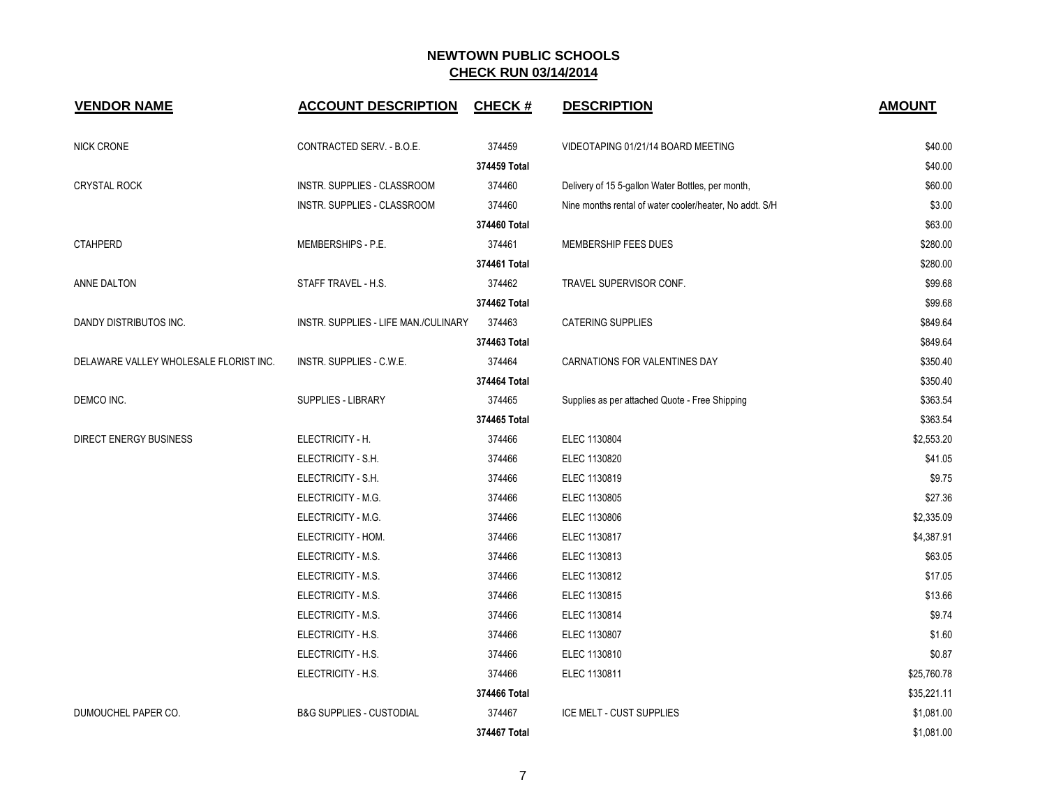| <b>VENDOR NAME</b>                     | <b>ACCOUNT DESCRIPTION</b>           | <b>CHECK#</b> | <b>DESCRIPTION</b>                                      | <b>AMOUNT</b> |
|----------------------------------------|--------------------------------------|---------------|---------------------------------------------------------|---------------|
| NICK CRONE                             | CONTRACTED SERV. - B.O.E.            | 374459        | VIDEOTAPING 01/21/14 BOARD MEETING                      | \$40.00       |
|                                        |                                      | 374459 Total  |                                                         | \$40.00       |
| <b>CRYSTAL ROCK</b>                    | <b>INSTR. SUPPLIES - CLASSROOM</b>   | 374460        | Delivery of 15 5-gallon Water Bottles, per month,       | \$60.00       |
|                                        | INSTR. SUPPLIES - CLASSROOM          | 374460        | Nine months rental of water cooler/heater, No addt. S/H | \$3.00        |
|                                        |                                      | 374460 Total  |                                                         | \$63.00       |
| <b>CTAHPERD</b>                        | MEMBERSHIPS - P.E.                   | 374461        | MEMBERSHIP FEES DUES                                    | \$280.00      |
|                                        |                                      | 374461 Total  |                                                         | \$280.00      |
| ANNE DALTON                            | STAFF TRAVEL - H.S.                  | 374462        | TRAVEL SUPERVISOR CONF.                                 | \$99.68       |
|                                        |                                      | 374462 Total  |                                                         | \$99.68       |
| DANDY DISTRIBUTOS INC.                 | INSTR. SUPPLIES - LIFE MAN./CULINARY | 374463        | <b>CATERING SUPPLIES</b>                                | \$849.64      |
|                                        |                                      | 374463 Total  |                                                         | \$849.64      |
| DELAWARE VALLEY WHOLESALE FLORIST INC. | INSTR. SUPPLIES - C.W.E.             | 374464        | CARNATIONS FOR VALENTINES DAY                           | \$350.40      |
|                                        |                                      | 374464 Total  |                                                         | \$350.40      |
| DEMCO INC.                             | <b>SUPPLIES - LIBRARY</b>            | 374465        | Supplies as per attached Quote - Free Shipping          | \$363.54      |
|                                        |                                      | 374465 Total  |                                                         | \$363.54      |
| <b>DIRECT ENERGY BUSINESS</b>          | ELECTRICITY - H.                     | 374466        | ELEC 1130804                                            | \$2,553.20    |
|                                        | ELECTRICITY - S.H.                   | 374466        | ELEC 1130820                                            | \$41.05       |
|                                        | ELECTRICITY - S.H.                   | 374466        | ELEC 1130819                                            | \$9.75        |
|                                        | ELECTRICITY - M.G.                   | 374466        | ELEC 1130805                                            | \$27.36       |
|                                        | ELECTRICITY - M.G.                   | 374466        | ELEC 1130806                                            | \$2,335.09    |
|                                        | ELECTRICITY - HOM.                   | 374466        | ELEC 1130817                                            | \$4,387.91    |
|                                        | ELECTRICITY - M.S.                   | 374466        | ELEC 1130813                                            | \$63.05       |
|                                        | ELECTRICITY - M.S.                   | 374466        | ELEC 1130812                                            | \$17.05       |
|                                        | ELECTRICITY - M.S.                   | 374466        | ELEC 1130815                                            | \$13.66       |
|                                        | ELECTRICITY - M.S.                   | 374466        | ELEC 1130814                                            | \$9.74        |
|                                        | ELECTRICITY - H.S.                   | 374466        | ELEC 1130807                                            | \$1.60        |
|                                        | ELECTRICITY - H.S.                   | 374466        | ELEC 1130810                                            | \$0.87        |
|                                        | ELECTRICITY - H.S.                   | 374466        | ELEC 1130811                                            | \$25,760.78   |
|                                        |                                      | 374466 Total  |                                                         | \$35,221.11   |
| DUMOUCHEL PAPER CO.                    | <b>B&amp;G SUPPLIES - CUSTODIAL</b>  | 374467        | <b>ICE MELT - CUST SUPPLIES</b>                         | \$1,081.00    |
|                                        |                                      | 374467 Total  |                                                         | \$1,081.00    |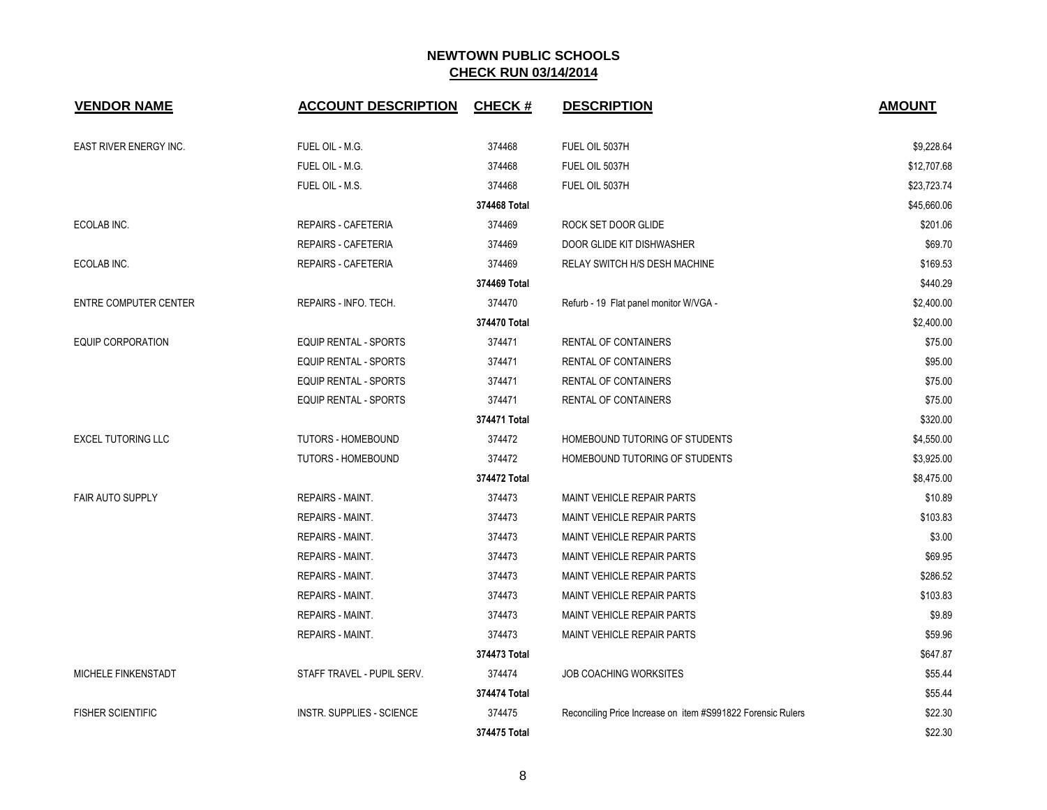| <b>VENDOR NAME</b>           | <b>ACCOUNT DESCRIPTION</b>       | CHECK #      | <b>DESCRIPTION</b>                                          | <b>AMOUNT</b> |
|------------------------------|----------------------------------|--------------|-------------------------------------------------------------|---------------|
| EAST RIVER ENERGY INC.       | FUEL OIL - M.G.                  | 374468       | FUEL OIL 5037H                                              | \$9,228.64    |
|                              | FUEL OIL - M.G.                  | 374468       | FUEL OIL 5037H                                              | \$12,707.68   |
|                              | FUEL OIL - M.S.                  | 374468       | FUEL OIL 5037H                                              | \$23,723.74   |
|                              |                                  | 374468 Total |                                                             | \$45,660.06   |
| ECOLAB INC.                  | <b>REPAIRS - CAFETERIA</b>       | 374469       | ROCK SET DOOR GLIDE                                         | \$201.06      |
|                              | <b>REPAIRS - CAFETERIA</b>       | 374469       | DOOR GLIDE KIT DISHWASHER                                   | \$69.70       |
| ECOLAB INC.                  | <b>REPAIRS - CAFETERIA</b>       | 374469       | RELAY SWITCH H/S DESH MACHINE                               | \$169.53      |
|                              |                                  | 374469 Total |                                                             | \$440.29      |
| <b>ENTRE COMPUTER CENTER</b> | REPAIRS - INFO. TECH.            | 374470       | Refurb - 19 Flat panel monitor W/VGA -                      | \$2,400.00    |
|                              |                                  | 374470 Total |                                                             | \$2,400.00    |
| <b>EQUIP CORPORATION</b>     | <b>EQUIP RENTAL - SPORTS</b>     | 374471       | <b>RENTAL OF CONTAINERS</b>                                 | \$75.00       |
|                              | <b>EQUIP RENTAL - SPORTS</b>     | 374471       | <b>RENTAL OF CONTAINERS</b>                                 | \$95.00       |
|                              | <b>EQUIP RENTAL - SPORTS</b>     | 374471       | RENTAL OF CONTAINERS                                        | \$75.00       |
|                              | <b>EQUIP RENTAL - SPORTS</b>     | 374471       | RENTAL OF CONTAINERS                                        | \$75.00       |
|                              |                                  | 374471 Total |                                                             | \$320.00      |
| <b>EXCEL TUTORING LLC</b>    | <b>TUTORS - HOMEBOUND</b>        | 374472       | HOMEBOUND TUTORING OF STUDENTS                              | \$4,550.00    |
|                              | TUTORS - HOMEBOUND               | 374472       | HOMEBOUND TUTORING OF STUDENTS                              | \$3,925.00    |
|                              |                                  | 374472 Total |                                                             | \$8,475.00    |
| <b>FAIR AUTO SUPPLY</b>      | <b>REPAIRS - MAINT.</b>          | 374473       | MAINT VEHICLE REPAIR PARTS                                  | \$10.89       |
|                              | <b>REPAIRS - MAINT.</b>          | 374473       | MAINT VEHICLE REPAIR PARTS                                  | \$103.83      |
|                              | <b>REPAIRS - MAINT.</b>          | 374473       | <b>MAINT VEHICLE REPAIR PARTS</b>                           | \$3.00        |
|                              | REPAIRS - MAINT.                 | 374473       | MAINT VEHICLE REPAIR PARTS                                  | \$69.95       |
|                              | <b>REPAIRS - MAINT.</b>          | 374473       | MAINT VEHICLE REPAIR PARTS                                  | \$286.52      |
|                              | <b>REPAIRS - MAINT.</b>          | 374473       | <b>MAINT VEHICLE REPAIR PARTS</b>                           | \$103.83      |
|                              | <b>REPAIRS - MAINT.</b>          | 374473       | <b>MAINT VEHICLE REPAIR PARTS</b>                           | \$9.89        |
|                              | <b>REPAIRS - MAINT.</b>          | 374473       | MAINT VEHICLE REPAIR PARTS                                  | \$59.96       |
|                              |                                  | 374473 Total |                                                             | \$647.87      |
| MICHELE FINKENSTADT          | STAFF TRAVEL - PUPIL SERV.       | 374474       | <b>JOB COACHING WORKSITES</b>                               | \$55.44       |
|                              |                                  | 374474 Total |                                                             | \$55.44       |
| <b>FISHER SCIENTIFIC</b>     | <b>INSTR. SUPPLIES - SCIENCE</b> | 374475       | Reconciling Price Increase on item #S991822 Forensic Rulers | \$22.30       |
|                              |                                  | 374475 Total |                                                             | \$22.30       |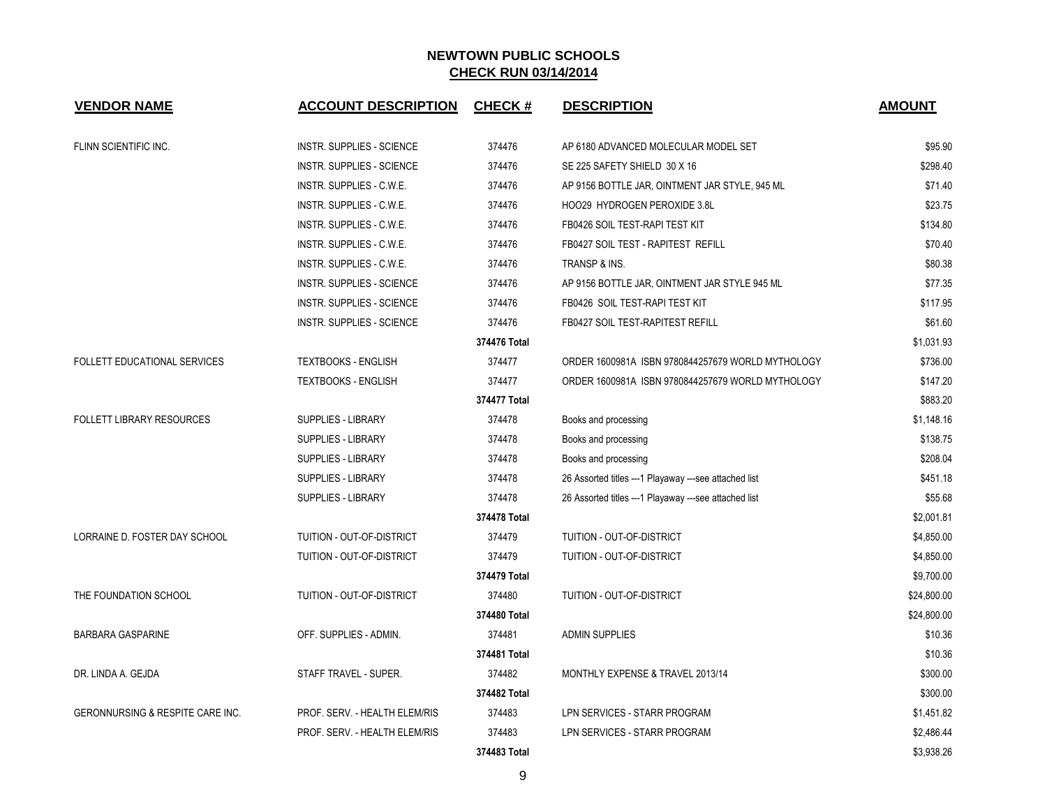| <b>VENDOR NAME</b>                  | <b>ACCOUNT DESCRIPTION</b>       | <b>CHECK#</b> | <b>DESCRIPTION</b>                                     | <b>AMOUNT</b> |
|-------------------------------------|----------------------------------|---------------|--------------------------------------------------------|---------------|
| FLINN SCIENTIFIC INC.               | <b>INSTR. SUPPLIES - SCIENCE</b> | 374476        | AP 6180 ADVANCED MOLECULAR MODEL SET                   | \$95.90       |
|                                     | <b>INSTR. SUPPLIES - SCIENCE</b> | 374476        | SE 225 SAFETY SHIELD 30 X 16                           | \$298.40      |
|                                     | INSTR. SUPPLIES - C.W.E.         | 374476        | AP 9156 BOTTLE JAR, OINTMENT JAR STYLE, 945 ML         | \$71.40       |
|                                     | INSTR. SUPPLIES - C.W.E.         | 374476        | HOO29 HYDROGEN PEROXIDE 3.8L                           | \$23.75       |
|                                     | INSTR. SUPPLIES - C.W.E.         | 374476        | FB0426 SOIL TEST-RAPI TEST KIT                         | \$134.80      |
|                                     | INSTR. SUPPLIES - C.W.E.         | 374476        | FB0427 SOIL TEST - RAPITEST REFILL                     | \$70.40       |
|                                     | INSTR. SUPPLIES - C.W.E.         | 374476        | TRANSP & INS.                                          | \$80.38       |
|                                     | <b>INSTR. SUPPLIES - SCIENCE</b> | 374476        | AP 9156 BOTTLE JAR, OINTMENT JAR STYLE 945 ML          | \$77.35       |
|                                     | INSTR. SUPPLIES - SCIENCE        | 374476        | FB0426 SOIL TEST-RAPI TEST KIT                         | \$117.95      |
|                                     | <b>INSTR. SUPPLIES - SCIENCE</b> | 374476        | FB0427 SOIL TEST-RAPITEST REFILL                       | \$61.60       |
|                                     |                                  | 374476 Total  |                                                        | \$1,031.93    |
| <b>FOLLETT EDUCATIONAL SERVICES</b> | <b>TEXTBOOKS - ENGLISH</b>       | 374477        | ORDER 1600981A ISBN 9780844257679 WORLD MYTHOLOGY      | \$736.00      |
|                                     | <b>TEXTBOOKS - ENGLISH</b>       | 374477        | ORDER 1600981A ISBN 9780844257679 WORLD MYTHOLOGY      | \$147.20      |
|                                     |                                  | 374477 Total  |                                                        | \$883.20      |
| <b>FOLLETT LIBRARY RESOURCES</b>    | <b>SUPPLIES - LIBRARY</b>        | 374478        | Books and processing                                   | \$1,148.16    |
|                                     | <b>SUPPLIES - LIBRARY</b>        | 374478        | Books and processing                                   | \$138.75      |
|                                     | <b>SUPPLIES - LIBRARY</b>        | 374478        | Books and processing                                   | \$208.04      |
|                                     | <b>SUPPLIES - LIBRARY</b>        | 374478        | 26 Assorted titles --- 1 Playaway ---see attached list | \$451.18      |
|                                     | <b>SUPPLIES - LIBRARY</b>        | 374478        | 26 Assorted titles --- 1 Playaway ---see attached list | \$55.68       |
|                                     |                                  | 374478 Total  |                                                        | \$2,001.81    |
| LORRAINE D. FOSTER DAY SCHOOL       | TUITION - OUT-OF-DISTRICT        | 374479        | TUITION - OUT-OF-DISTRICT                              | \$4,850.00    |
|                                     | TUITION - OUT-OF-DISTRICT        | 374479        | TUITION - OUT-OF-DISTRICT                              | \$4,850.00    |
|                                     |                                  | 374479 Total  |                                                        | \$9,700.00    |
| THE FOUNDATION SCHOOL               | TUITION - OUT-OF-DISTRICT        | 374480        | TUITION - OUT-OF-DISTRICT                              | \$24,800.00   |
|                                     |                                  | 374480 Total  |                                                        | \$24,800.00   |
| <b>BARBARA GASPARINE</b>            | OFF. SUPPLIES - ADMIN.           | 374481        | <b>ADMIN SUPPLIES</b>                                  | \$10.36       |
|                                     |                                  | 374481 Total  |                                                        | \$10.36       |
| DR. LINDA A. GEJDA                  | STAFF TRAVEL - SUPER.            | 374482        | MONTHLY EXPENSE & TRAVEL 2013/14                       | \$300.00      |
|                                     |                                  | 374482 Total  |                                                        | \$300.00      |
| GERONNURSING & RESPITE CARE INC.    | PROF. SERV. - HEALTH ELEM/RIS    | 374483        | LPN SERVICES - STARR PROGRAM                           | \$1,451.82    |
|                                     | PROF. SERV. - HEALTH ELEM/RIS    | 374483        | LPN SERVICES - STARR PROGRAM                           | \$2,486.44    |
|                                     |                                  | 374483 Total  |                                                        | \$3.938.26    |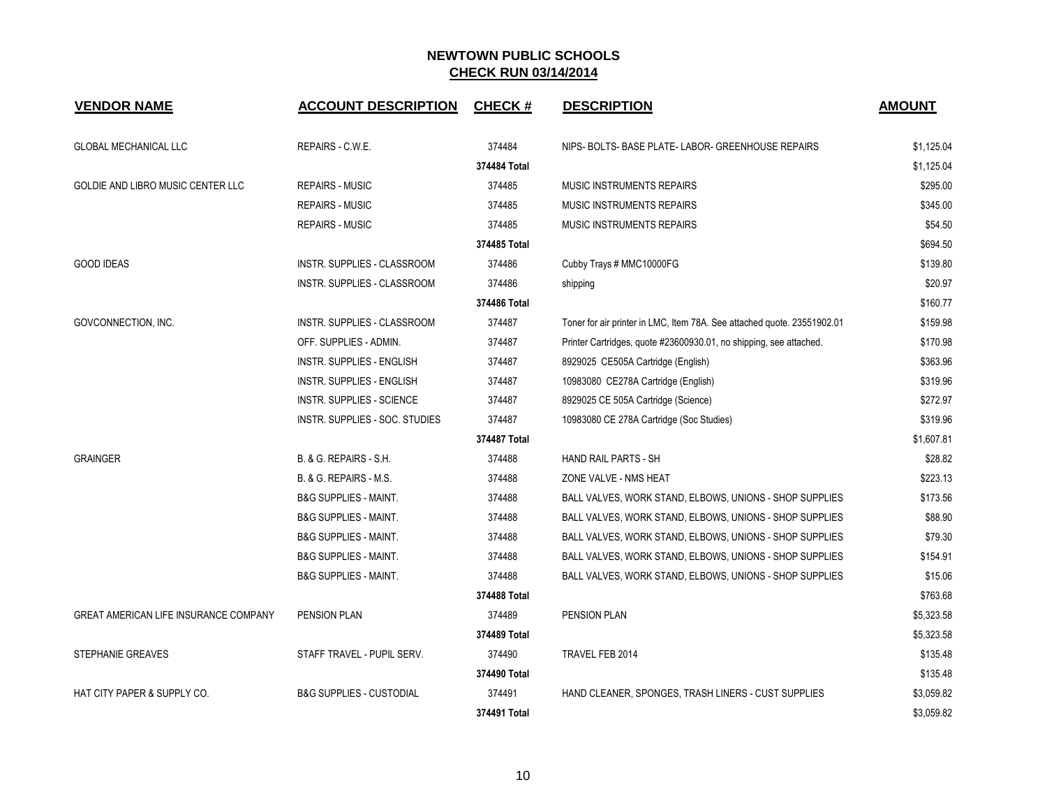| <b>VENDOR NAME</b>                           | <b>ACCOUNT DESCRIPTION</b>          | <b>CHECK#</b> | <b>DESCRIPTION</b>                                                      | <b>AMOUNT</b> |
|----------------------------------------------|-------------------------------------|---------------|-------------------------------------------------------------------------|---------------|
| <b>GLOBAL MECHANICAL LLC</b>                 | REPAIRS - C.W.E.                    | 374484        | NIPS-BOLTS-BASE PLATE-LABOR-GREENHOUSE REPAIRS                          | \$1,125.04    |
|                                              |                                     | 374484 Total  |                                                                         | \$1,125.04    |
| GOLDIE AND LIBRO MUSIC CENTER LLC            | <b>REPAIRS - MUSIC</b>              | 374485        | <b>MUSIC INSTRUMENTS REPAIRS</b>                                        | \$295.00      |
|                                              | <b>REPAIRS - MUSIC</b>              | 374485        | MUSIC INSTRUMENTS REPAIRS                                               | \$345.00      |
|                                              | <b>REPAIRS - MUSIC</b>              | 374485        | MUSIC INSTRUMENTS REPAIRS                                               | \$54.50       |
|                                              |                                     | 374485 Total  |                                                                         | \$694.50      |
| <b>GOOD IDEAS</b>                            | INSTR. SUPPLIES - CLASSROOM         | 374486        | Cubby Trays # MMC10000FG                                                | \$139.80      |
|                                              | INSTR. SUPPLIES - CLASSROOM         | 374486        | shipping                                                                | \$20.97       |
|                                              |                                     | 374486 Total  |                                                                         | \$160.77      |
| GOVCONNECTION, INC.                          | INSTR. SUPPLIES - CLASSROOM         | 374487        | Toner for air printer in LMC, Item 78A. See attached quote. 23551902.01 | \$159.98      |
|                                              | OFF. SUPPLIES - ADMIN.              | 374487        | Printer Cartridges, quote #23600930.01, no shipping, see attached.      | \$170.98      |
|                                              | INSTR. SUPPLIES - ENGLISH           | 374487        | 8929025 CE505A Cartridge (English)                                      | \$363.96      |
|                                              | INSTR. SUPPLIES - ENGLISH           | 374487        | 10983080 CE278A Cartridge (English)                                     | \$319.96      |
|                                              | <b>INSTR. SUPPLIES - SCIENCE</b>    | 374487        | 8929025 CE 505A Cartridge (Science)                                     | \$272.97      |
|                                              | INSTR. SUPPLIES - SOC. STUDIES      | 374487        | 10983080 CE 278A Cartridge (Soc Studies)                                | \$319.96      |
|                                              |                                     | 374487 Total  |                                                                         | \$1,607.81    |
| <b>GRAINGER</b>                              | B. & G. REPAIRS - S.H.              | 374488        | <b>HAND RAIL PARTS - SH</b>                                             | \$28.82       |
|                                              | B. & G. REPAIRS - M.S.              | 374488        | ZONE VALVE - NMS HEAT                                                   | \$223.13      |
|                                              | <b>B&amp;G SUPPLIES - MAINT.</b>    | 374488        | BALL VALVES, WORK STAND, ELBOWS, UNIONS - SHOP SUPPLIES                 | \$173.56      |
|                                              | <b>B&amp;G SUPPLIES - MAINT.</b>    | 374488        | BALL VALVES, WORK STAND, ELBOWS, UNIONS - SHOP SUPPLIES                 | \$88.90       |
|                                              | <b>B&amp;G SUPPLIES - MAINT.</b>    | 374488        | BALL VALVES, WORK STAND, ELBOWS, UNIONS - SHOP SUPPLIES                 | \$79.30       |
|                                              | <b>B&amp;G SUPPLIES - MAINT.</b>    | 374488        | BALL VALVES, WORK STAND, ELBOWS, UNIONS - SHOP SUPPLIES                 | \$154.91      |
|                                              | <b>B&amp;G SUPPLIES - MAINT.</b>    | 374488        | BALL VALVES, WORK STAND, ELBOWS, UNIONS - SHOP SUPPLIES                 | \$15.06       |
|                                              |                                     | 374488 Total  |                                                                         | \$763.68      |
| <b>GREAT AMERICAN LIFE INSURANCE COMPANY</b> | <b>PENSION PLAN</b>                 | 374489        | <b>PENSION PLAN</b>                                                     | \$5,323.58    |
|                                              |                                     | 374489 Total  |                                                                         | \$5,323.58    |
| STEPHANIE GREAVES                            | STAFF TRAVEL - PUPIL SERV.          | 374490        | TRAVEL FEB 2014                                                         | \$135.48      |
|                                              |                                     | 374490 Total  |                                                                         | \$135.48      |
| HAT CITY PAPER & SUPPLY CO.                  | <b>B&amp;G SUPPLIES - CUSTODIAL</b> | 374491        | HAND CLEANER, SPONGES, TRASH LINERS - CUST SUPPLIES                     | \$3,059.82    |
|                                              |                                     | 374491 Total  |                                                                         | \$3,059.82    |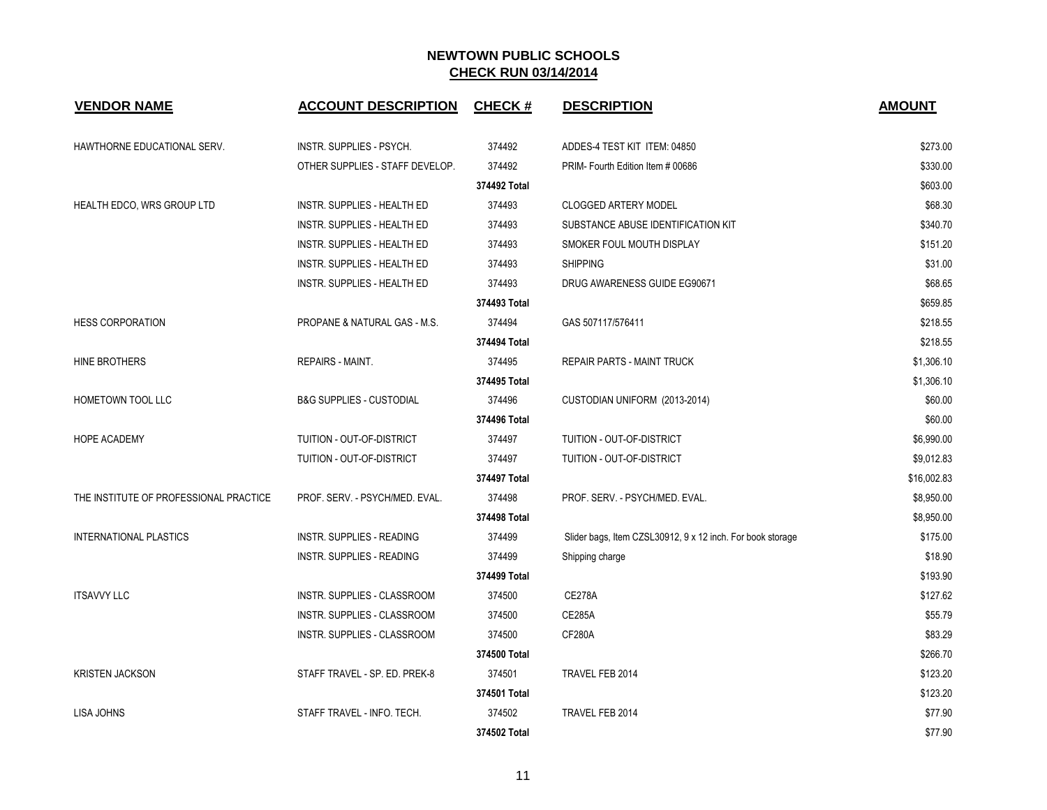| <b>VENDOR NAME</b>                     | <b>ACCOUNT DESCRIPTION</b>          | <b>CHECK#</b> | <b>DESCRIPTION</b>                                         | <b>AMOUNT</b> |
|----------------------------------------|-------------------------------------|---------------|------------------------------------------------------------|---------------|
| HAWTHORNE EDUCATIONAL SERV.            | INSTR. SUPPLIES - PSYCH.            | 374492        | ADDES-4 TEST KIT ITEM: 04850                               | \$273.00      |
|                                        | OTHER SUPPLIES - STAFF DEVELOP.     | 374492        | PRIM-Fourth Edition Item # 00686                           | \$330.00      |
|                                        |                                     | 374492 Total  |                                                            | \$603.00      |
| HEALTH EDCO, WRS GROUP LTD             | <b>INSTR. SUPPLIES - HEALTH ED</b>  | 374493        | <b>CLOGGED ARTERY MODEL</b>                                | \$68.30       |
|                                        | INSTR. SUPPLIES - HEALTH ED         | 374493        | SUBSTANCE ABUSE IDENTIFICATION KIT                         | \$340.70      |
|                                        | INSTR. SUPPLIES - HEALTH ED         | 374493        | SMOKER FOUL MOUTH DISPLAY                                  | \$151.20      |
|                                        | <b>INSTR. SUPPLIES - HEALTH ED</b>  | 374493        | <b>SHIPPING</b>                                            | \$31.00       |
|                                        | INSTR. SUPPLIES - HEALTH ED         | 374493        | DRUG AWARENESS GUIDE EG90671                               | \$68.65       |
|                                        |                                     | 374493 Total  |                                                            | \$659.85      |
| <b>HESS CORPORATION</b>                | PROPANE & NATURAL GAS - M.S.        | 374494        | GAS 507117/576411                                          | \$218.55      |
|                                        |                                     | 374494 Total  |                                                            | \$218.55      |
| HINE BROTHERS                          | REPAIRS - MAINT.                    | 374495        | REPAIR PARTS - MAINT TRUCK                                 | \$1,306.10    |
|                                        |                                     | 374495 Total  |                                                            | \$1,306.10    |
| HOMETOWN TOOL LLC                      | <b>B&amp;G SUPPLIES - CUSTODIAL</b> | 374496        | CUSTODIAN UNIFORM (2013-2014)                              | \$60.00       |
|                                        |                                     | 374496 Total  |                                                            | \$60.00       |
| <b>HOPE ACADEMY</b>                    | TUITION - OUT-OF-DISTRICT           | 374497        | TUITION - OUT-OF-DISTRICT                                  | \$6,990.00    |
|                                        | TUITION - OUT-OF-DISTRICT           | 374497        | TUITION - OUT-OF-DISTRICT                                  | \$9,012.83    |
|                                        |                                     | 374497 Total  |                                                            | \$16,002.83   |
| THE INSTITUTE OF PROFESSIONAL PRACTICE | PROF. SERV. - PSYCH/MED. EVAL.      | 374498        | PROF. SERV. - PSYCH/MED. EVAL.                             | \$8,950.00    |
|                                        |                                     | 374498 Total  |                                                            | \$8,950.00    |
| <b>INTERNATIONAL PLASTICS</b>          | <b>INSTR. SUPPLIES - READING</b>    | 374499        | Slider bags, Item CZSL30912, 9 x 12 inch. For book storage | \$175.00      |
|                                        | <b>INSTR. SUPPLIES - READING</b>    | 374499        | Shipping charge                                            | \$18.90       |
|                                        |                                     | 374499 Total  |                                                            | \$193.90      |
| <b>ITSAVVY LLC</b>                     | INSTR. SUPPLIES - CLASSROOM         | 374500        | <b>CE278A</b>                                              | \$127.62      |
|                                        | <b>INSTR. SUPPLIES - CLASSROOM</b>  | 374500        | <b>CE285A</b>                                              | \$55.79       |
|                                        | INSTR. SUPPLIES - CLASSROOM         | 374500        | <b>CF280A</b>                                              | \$83.29       |
|                                        |                                     | 374500 Total  |                                                            | \$266.70      |
| <b>KRISTEN JACKSON</b>                 | STAFF TRAVEL - SP. ED. PREK-8       | 374501        | TRAVEL FEB 2014                                            | \$123.20      |
|                                        |                                     | 374501 Total  |                                                            | \$123.20      |
| LISA JOHNS                             | STAFF TRAVEL - INFO. TECH.          | 374502        | TRAVEL FEB 2014                                            | \$77.90       |
|                                        |                                     | 374502 Total  |                                                            | \$77.90       |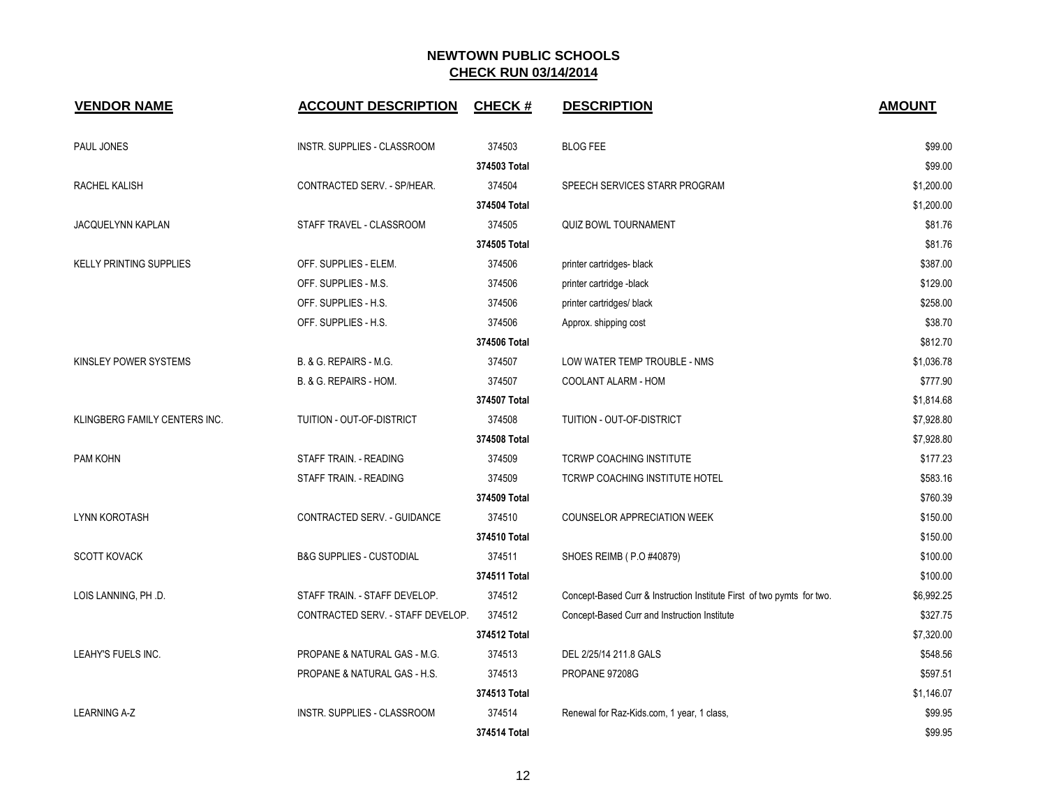| <b>VENDOR NAME</b>             | <b>ACCOUNT DESCRIPTION</b>          | <b>CHECK#</b> | <b>DESCRIPTION</b>                                                     | <b>AMOUNT</b> |
|--------------------------------|-------------------------------------|---------------|------------------------------------------------------------------------|---------------|
| PAUL JONES                     | INSTR. SUPPLIES - CLASSROOM         | 374503        | <b>BLOG FEE</b>                                                        | \$99.00       |
|                                |                                     | 374503 Total  |                                                                        | \$99.00       |
| RACHEL KALISH                  | CONTRACTED SERV. - SP/HEAR.         | 374504        | SPEECH SERVICES STARR PROGRAM                                          | \$1,200.00    |
|                                |                                     | 374504 Total  |                                                                        | \$1,200.00    |
| JACQUELYNN KAPLAN              | STAFF TRAVEL - CLASSROOM            | 374505        | <b>QUIZ BOWL TOURNAMENT</b>                                            | \$81.76       |
|                                |                                     | 374505 Total  |                                                                        | \$81.76       |
| <b>KELLY PRINTING SUPPLIES</b> | OFF. SUPPLIES - ELEM.               | 374506        | printer cartridges- black                                              | \$387.00      |
|                                | OFF. SUPPLIES - M.S.                | 374506        | printer cartridge -black                                               | \$129.00      |
|                                | OFF. SUPPLIES - H.S.                | 374506        | printer cartridges/ black                                              | \$258.00      |
|                                | OFF. SUPPLIES - H.S.                | 374506        | Approx. shipping cost                                                  | \$38.70       |
|                                |                                     | 374506 Total  |                                                                        | \$812.70      |
| KINSLEY POWER SYSTEMS          | B. & G. REPAIRS - M.G.              | 374507        | LOW WATER TEMP TROUBLE - NMS                                           | \$1,036.78    |
|                                | B. & G. REPAIRS - HOM.              | 374507        | COOLANT ALARM - HOM                                                    | \$777.90      |
|                                |                                     | 374507 Total  |                                                                        | \$1,814.68    |
| KLINGBERG FAMILY CENTERS INC.  | TUITION - OUT-OF-DISTRICT           | 374508        | TUITION - OUT-OF-DISTRICT                                              | \$7,928.80    |
|                                |                                     | 374508 Total  |                                                                        | \$7,928.80    |
| PAM KOHN                       | STAFF TRAIN. - READING              | 374509        | TCRWP COACHING INSTITUTE                                               | \$177.23      |
|                                | STAFF TRAIN. - READING              | 374509        | TCRWP COACHING INSTITUTE HOTEL                                         | \$583.16      |
|                                |                                     | 374509 Total  |                                                                        | \$760.39      |
| <b>LYNN KOROTASH</b>           | CONTRACTED SERV. - GUIDANCE         | 374510        | COUNSELOR APPRECIATION WEEK                                            | \$150.00      |
|                                |                                     | 374510 Total  |                                                                        | \$150.00      |
| <b>SCOTT KOVACK</b>            | <b>B&amp;G SUPPLIES - CUSTODIAL</b> | 374511        | SHOES REIMB (P.O #40879)                                               | \$100.00      |
|                                |                                     | 374511 Total  |                                                                        | \$100.00      |
| LOIS LANNING, PH .D.           | STAFF TRAIN. - STAFF DEVELOP.       | 374512        | Concept-Based Curr & Instruction Institute First of two pymts for two. | \$6,992.25    |
|                                | CONTRACTED SERV. - STAFF DEVELOP.   | 374512        | Concept-Based Curr and Instruction Institute                           | \$327.75      |
|                                |                                     | 374512 Total  |                                                                        | \$7,320.00    |
| LEAHY'S FUELS INC.             | PROPANE & NATURAL GAS - M.G.        | 374513        | DEL 2/25/14 211.8 GALS                                                 | \$548.56      |
|                                | PROPANE & NATURAL GAS - H.S.        | 374513        | PROPANE 97208G                                                         | \$597.51      |
|                                |                                     | 374513 Total  |                                                                        | \$1,146.07    |
| <b>LEARNING A-Z</b>            | INSTR. SUPPLIES - CLASSROOM         | 374514        | Renewal for Raz-Kids.com, 1 year, 1 class,                             | \$99.95       |
|                                |                                     | 374514 Total  |                                                                        | \$99.95       |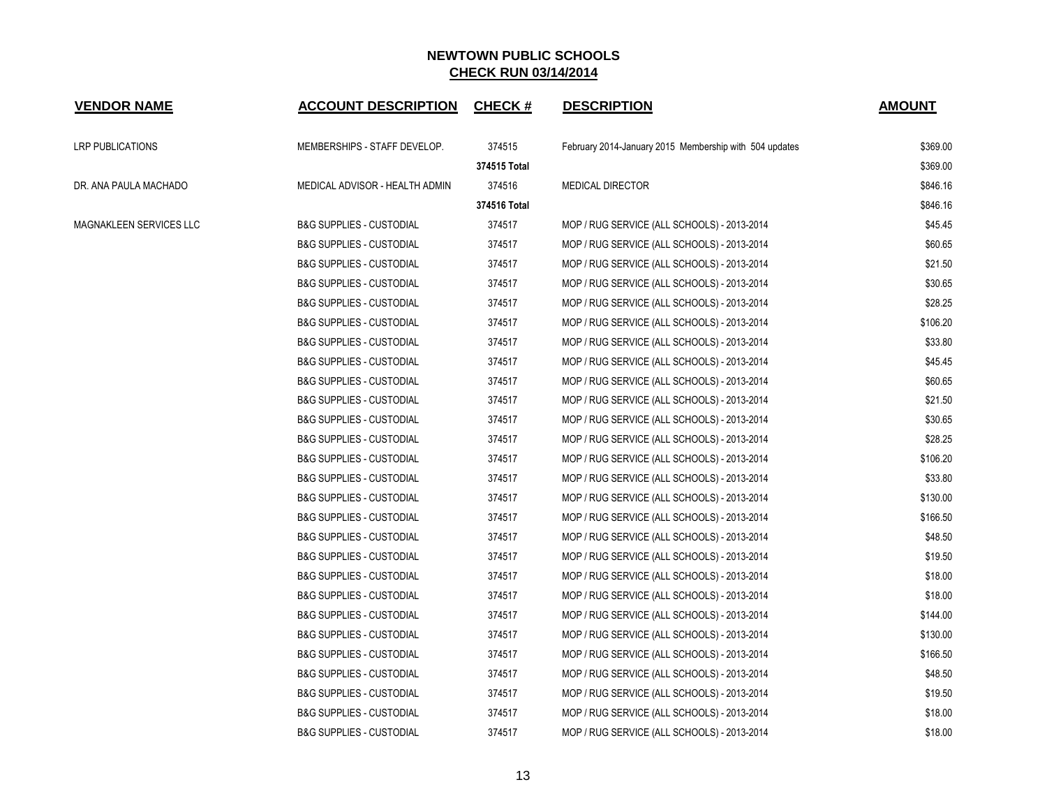| <b>VENDOR NAME</b>      | <b>ACCOUNT DESCRIPTION</b>          | <b>CHECK#</b> | <b>DESCRIPTION</b>                                     | <b>AMOUNT</b> |
|-------------------------|-------------------------------------|---------------|--------------------------------------------------------|---------------|
| LRP PUBLICATIONS        | MEMBERSHIPS - STAFF DEVELOP.        | 374515        | February 2014-January 2015 Membership with 504 updates | \$369.00      |
|                         |                                     | 374515 Total  |                                                        | \$369.00      |
| DR. ANA PAULA MACHADO   | MEDICAL ADVISOR - HEALTH ADMIN      | 374516        | <b>MEDICAL DIRECTOR</b>                                | \$846.16      |
|                         |                                     | 374516 Total  |                                                        | \$846.16      |
| MAGNAKLEEN SERVICES LLC | <b>B&amp;G SUPPLIES - CUSTODIAL</b> | 374517        | MOP / RUG SERVICE (ALL SCHOOLS) - 2013-2014            | \$45.45       |
|                         | <b>B&amp;G SUPPLIES - CUSTODIAL</b> | 374517        | MOP / RUG SERVICE (ALL SCHOOLS) - 2013-2014            | \$60.65       |
|                         | <b>B&amp;G SUPPLIES - CUSTODIAL</b> | 374517        | MOP / RUG SERVICE (ALL SCHOOLS) - 2013-2014            | \$21.50       |
|                         | <b>B&amp;G SUPPLIES - CUSTODIAL</b> | 374517        | MOP / RUG SERVICE (ALL SCHOOLS) - 2013-2014            | \$30.65       |
|                         | <b>B&amp;G SUPPLIES - CUSTODIAL</b> | 374517        | MOP / RUG SERVICE (ALL SCHOOLS) - 2013-2014            | \$28.25       |
|                         | <b>B&amp;G SUPPLIES - CUSTODIAL</b> | 374517        | MOP / RUG SERVICE (ALL SCHOOLS) - 2013-2014            | \$106.20      |
|                         | <b>B&amp;G SUPPLIES - CUSTODIAL</b> | 374517        | MOP / RUG SERVICE (ALL SCHOOLS) - 2013-2014            | \$33.80       |
|                         | <b>B&amp;G SUPPLIES - CUSTODIAL</b> | 374517        | MOP / RUG SERVICE (ALL SCHOOLS) - 2013-2014            | \$45.45       |
|                         | <b>B&amp;G SUPPLIES - CUSTODIAL</b> | 374517        | MOP / RUG SERVICE (ALL SCHOOLS) - 2013-2014            | \$60.65       |
|                         | <b>B&amp;G SUPPLIES - CUSTODIAL</b> | 374517        | MOP / RUG SERVICE (ALL SCHOOLS) - 2013-2014            | \$21.50       |
|                         | <b>B&amp;G SUPPLIES - CUSTODIAL</b> | 374517        | MOP / RUG SERVICE (ALL SCHOOLS) - 2013-2014            | \$30.65       |
|                         | <b>B&amp;G SUPPLIES - CUSTODIAL</b> | 374517        | MOP / RUG SERVICE (ALL SCHOOLS) - 2013-2014            | \$28.25       |
|                         | <b>B&amp;G SUPPLIES - CUSTODIAL</b> | 374517        | MOP / RUG SERVICE (ALL SCHOOLS) - 2013-2014            | \$106.20      |
|                         | <b>B&amp;G SUPPLIES - CUSTODIAL</b> | 374517        | MOP / RUG SERVICE (ALL SCHOOLS) - 2013-2014            | \$33.80       |
|                         | <b>B&amp;G SUPPLIES - CUSTODIAL</b> | 374517        | MOP / RUG SERVICE (ALL SCHOOLS) - 2013-2014            | \$130.00      |
|                         | <b>B&amp;G SUPPLIES - CUSTODIAL</b> | 374517        | MOP / RUG SERVICE (ALL SCHOOLS) - 2013-2014            | \$166.50      |
|                         | <b>B&amp;G SUPPLIES - CUSTODIAL</b> | 374517        | MOP / RUG SERVICE (ALL SCHOOLS) - 2013-2014            | \$48.50       |
|                         | <b>B&amp;G SUPPLIES - CUSTODIAL</b> | 374517        | MOP / RUG SERVICE (ALL SCHOOLS) - 2013-2014            | \$19.50       |
|                         | <b>B&amp;G SUPPLIES - CUSTODIAL</b> | 374517        | MOP / RUG SERVICE (ALL SCHOOLS) - 2013-2014            | \$18.00       |
|                         | <b>B&amp;G SUPPLIES - CUSTODIAL</b> | 374517        | MOP / RUG SERVICE (ALL SCHOOLS) - 2013-2014            | \$18.00       |
|                         | <b>B&amp;G SUPPLIES - CUSTODIAL</b> | 374517        | MOP / RUG SERVICE (ALL SCHOOLS) - 2013-2014            | \$144.00      |
|                         | <b>B&amp;G SUPPLIES - CUSTODIAL</b> | 374517        | MOP / RUG SERVICE (ALL SCHOOLS) - 2013-2014            | \$130.00      |
|                         | <b>B&amp;G SUPPLIES - CUSTODIAL</b> | 374517        | MOP / RUG SERVICE (ALL SCHOOLS) - 2013-2014            | \$166.50      |
|                         | <b>B&amp;G SUPPLIES - CUSTODIAL</b> | 374517        | MOP / RUG SERVICE (ALL SCHOOLS) - 2013-2014            | \$48.50       |
|                         | <b>B&amp;G SUPPLIES - CUSTODIAL</b> | 374517        | MOP / RUG SERVICE (ALL SCHOOLS) - 2013-2014            | \$19.50       |
|                         | <b>B&amp;G SUPPLIES - CUSTODIAL</b> | 374517        | MOP / RUG SERVICE (ALL SCHOOLS) - 2013-2014            | \$18.00       |
|                         | <b>B&amp;G SUPPLIES - CUSTODIAL</b> | 374517        | MOP / RUG SERVICE (ALL SCHOOLS) - 2013-2014            | \$18.00       |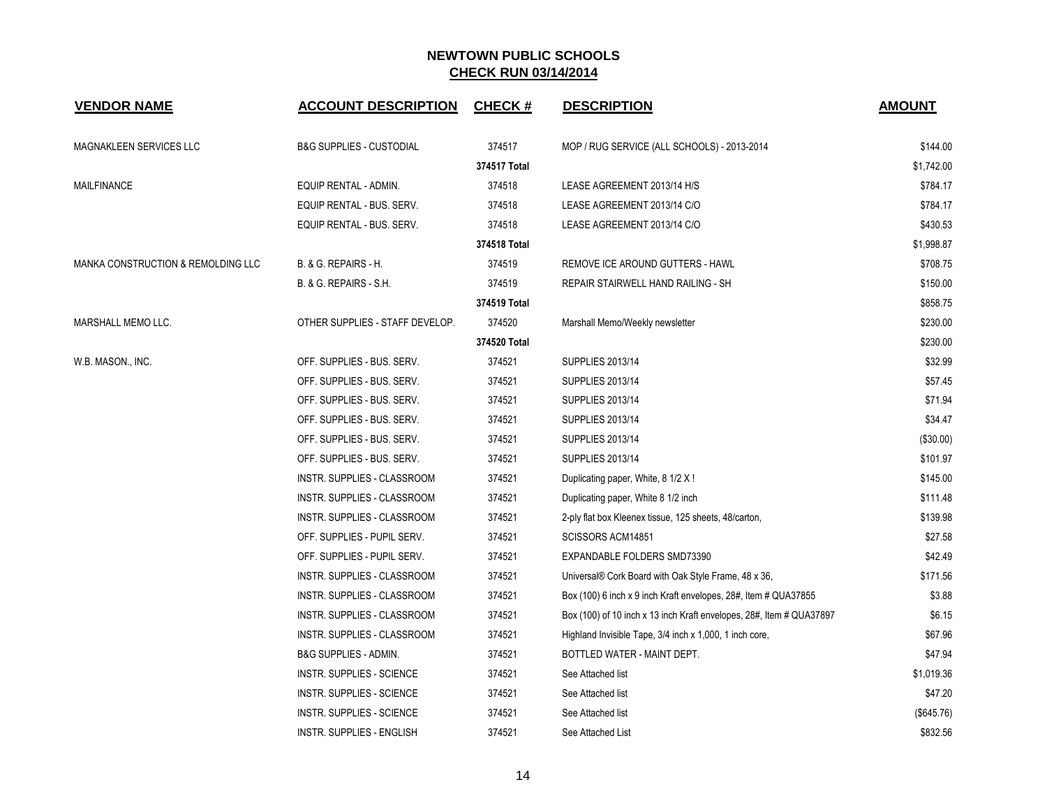| <b>VENDOR NAME</b>                 | <b>ACCOUNT DESCRIPTION</b>          | <b>CHECK#</b> | <b>DESCRIPTION</b>                                                   | <b>AMOUNT</b> |
|------------------------------------|-------------------------------------|---------------|----------------------------------------------------------------------|---------------|
| MAGNAKLEEN SERVICES LLC            | <b>B&amp;G SUPPLIES - CUSTODIAL</b> | 374517        | MOP / RUG SERVICE (ALL SCHOOLS) - 2013-2014                          | \$144.00      |
|                                    |                                     | 374517 Total  |                                                                      | \$1,742.00    |
| <b>MAILFINANCE</b>                 | EQUIP RENTAL - ADMIN.               | 374518        | LEASE AGREEMENT 2013/14 H/S                                          | \$784.17      |
|                                    | EQUIP RENTAL - BUS. SERV.           | 374518        | LEASE AGREEMENT 2013/14 C/O                                          | \$784.17      |
|                                    | EQUIP RENTAL - BUS. SERV.           | 374518        | LEASE AGREEMENT 2013/14 C/O                                          | \$430.53      |
|                                    |                                     | 374518 Total  |                                                                      | \$1,998.87    |
| MANKA CONSTRUCTION & REMOLDING LLC | B. & G. REPAIRS - H.                | 374519        | REMOVE ICE AROUND GUTTERS - HAWL                                     | \$708.75      |
|                                    | B. & G. REPAIRS - S.H.              | 374519        | REPAIR STAIRWELL HAND RAILING - SH                                   | \$150.00      |
|                                    |                                     | 374519 Total  |                                                                      | \$858.75      |
| MARSHALL MEMO LLC.                 | OTHER SUPPLIES - STAFF DEVELOP.     | 374520        | Marshall Memo/Weekly newsletter                                      | \$230.00      |
|                                    |                                     | 374520 Total  |                                                                      | \$230.00      |
| W.B. MASON., INC.                  | OFF. SUPPLIES - BUS. SERV.          | 374521        | <b>SUPPLIES 2013/14</b>                                              | \$32.99       |
|                                    | OFF. SUPPLIES - BUS. SERV.          | 374521        | <b>SUPPLIES 2013/14</b>                                              | \$57.45       |
|                                    | OFF. SUPPLIES - BUS. SERV.          | 374521        | <b>SUPPLIES 2013/14</b>                                              | \$71.94       |
|                                    | OFF. SUPPLIES - BUS. SERV.          | 374521        | <b>SUPPLIES 2013/14</b>                                              | \$34.47       |
|                                    | OFF. SUPPLIES - BUS. SERV.          | 374521        | <b>SUPPLIES 2013/14</b>                                              | (\$30.00)     |
|                                    | OFF. SUPPLIES - BUS. SERV.          | 374521        | <b>SUPPLIES 2013/14</b>                                              | \$101.97      |
|                                    | INSTR. SUPPLIES - CLASSROOM         | 374521        | Duplicating paper, White, 8 1/2 X !                                  | \$145.00      |
|                                    | INSTR. SUPPLIES - CLASSROOM         | 374521        | Duplicating paper, White 8 1/2 inch                                  | \$111.48      |
|                                    | INSTR. SUPPLIES - CLASSROOM         | 374521        | 2-ply flat box Kleenex tissue, 125 sheets, 48/carton,                | \$139.98      |
|                                    | OFF. SUPPLIES - PUPIL SERV.         | 374521        | SCISSORS ACM14851                                                    | \$27.58       |
|                                    | OFF. SUPPLIES - PUPIL SERV.         | 374521        | EXPANDABLE FOLDERS SMD73390                                          | \$42.49       |
|                                    | INSTR. SUPPLIES - CLASSROOM         | 374521        | Universal® Cork Board with Oak Style Frame, 48 x 36,                 | \$171.56      |
|                                    | INSTR. SUPPLIES - CLASSROOM         | 374521        | Box (100) 6 inch x 9 inch Kraft envelopes, 28#, Item # QUA37855      | \$3.88        |
|                                    | INSTR. SUPPLIES - CLASSROOM         | 374521        | Box (100) of 10 inch x 13 inch Kraft envelopes, 28#, Item # QUA37897 | \$6.15        |
|                                    | <b>INSTR. SUPPLIES - CLASSROOM</b>  | 374521        | Highland Invisible Tape, 3/4 inch x 1,000, 1 inch core,              | \$67.96       |
|                                    | <b>B&amp;G SUPPLIES - ADMIN.</b>    | 374521        | BOTTLED WATER - MAINT DEPT.                                          | \$47.94       |
|                                    | INSTR. SUPPLIES - SCIENCE           | 374521        | See Attached list                                                    | \$1,019.36    |
|                                    | INSTR. SUPPLIES - SCIENCE           | 374521        | See Attached list                                                    | \$47.20       |
|                                    | INSTR. SUPPLIES - SCIENCE           | 374521        | See Attached list                                                    | (\$645.76)    |
|                                    | <b>INSTR. SUPPLIES - ENGLISH</b>    | 374521        | See Attached List                                                    | \$832.56      |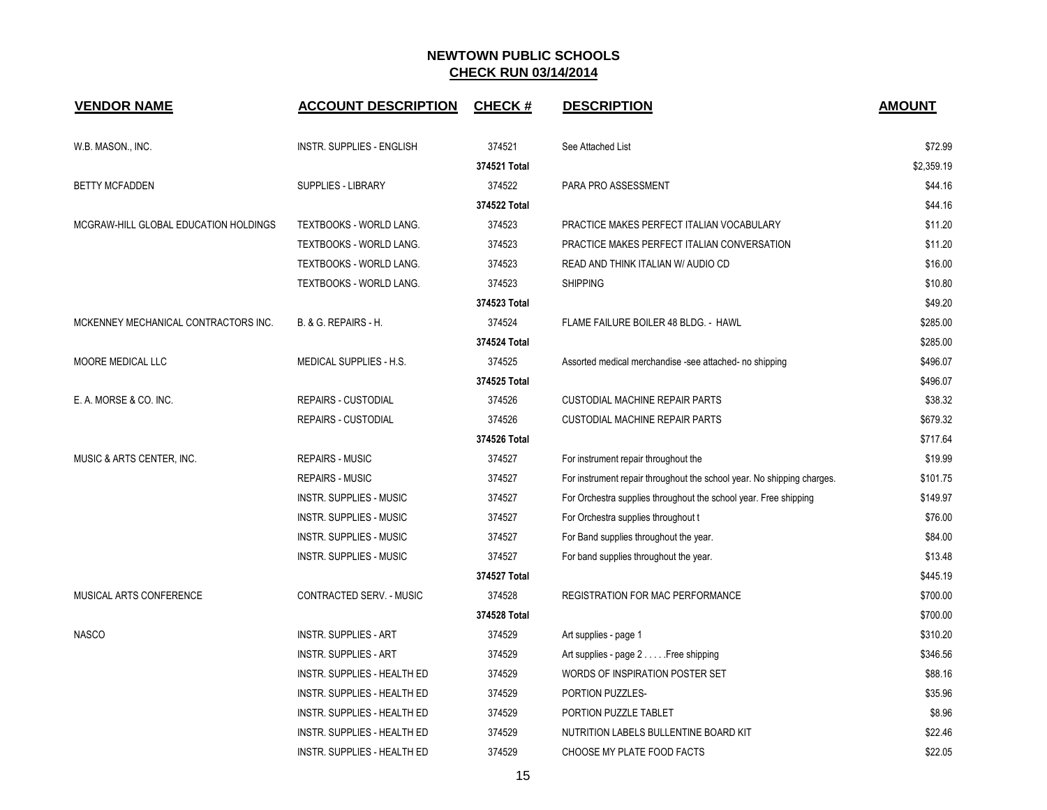| <b>VENDOR NAME</b>                    | <b>ACCOUNT DESCRIPTION</b>         | <b>CHECK#</b> | <b>DESCRIPTION</b>                                                     | <b>AMOUNT</b> |
|---------------------------------------|------------------------------------|---------------|------------------------------------------------------------------------|---------------|
| W.B. MASON., INC.                     | <b>INSTR. SUPPLIES - ENGLISH</b>   | 374521        | See Attached List                                                      | \$72.99       |
|                                       |                                    | 374521 Total  |                                                                        | \$2,359.19    |
| <b>BETTY MCFADDEN</b>                 | <b>SUPPLIES - LIBRARY</b>          | 374522        | PARA PRO ASSESSMENT                                                    | \$44.16       |
|                                       |                                    | 374522 Total  |                                                                        | \$44.16       |
| MCGRAW-HILL GLOBAL EDUCATION HOLDINGS | <b>TEXTBOOKS - WORLD LANG.</b>     | 374523        | PRACTICE MAKES PERFECT ITALIAN VOCABULARY                              | \$11.20       |
|                                       | <b>TEXTBOOKS - WORLD LANG.</b>     | 374523        | PRACTICE MAKES PERFECT ITALIAN CONVERSATION                            | \$11.20       |
|                                       | <b>TEXTBOOKS - WORLD LANG.</b>     | 374523        | READ AND THINK ITALIAN W/ AUDIO CD                                     | \$16.00       |
|                                       | TEXTBOOKS - WORLD LANG.            | 374523        | <b>SHIPPING</b>                                                        | \$10.80       |
|                                       |                                    | 374523 Total  |                                                                        | \$49.20       |
| MCKENNEY MECHANICAL CONTRACTORS INC.  | B. & G. REPAIRS - H.               | 374524        | FLAME FAILURE BOILER 48 BLDG. - HAWL                                   | \$285.00      |
|                                       |                                    | 374524 Total  |                                                                        | \$285.00      |
| MOORE MEDICAL LLC                     | MEDICAL SUPPLIES - H.S.            | 374525        | Assorted medical merchandise -see attached- no shipping                | \$496.07      |
|                                       |                                    | 374525 Total  |                                                                        | \$496.07      |
| E. A. MORSE & CO. INC.                | <b>REPAIRS - CUSTODIAL</b>         | 374526        | <b>CUSTODIAL MACHINE REPAIR PARTS</b>                                  | \$38.32       |
|                                       | <b>REPAIRS - CUSTODIAL</b>         | 374526        | <b>CUSTODIAL MACHINE REPAIR PARTS</b>                                  | \$679.32      |
|                                       |                                    | 374526 Total  |                                                                        | \$717.64      |
| MUSIC & ARTS CENTER, INC.             | <b>REPAIRS - MUSIC</b>             | 374527        | For instrument repair throughout the                                   | \$19.99       |
|                                       | <b>REPAIRS - MUSIC</b>             | 374527        | For instrument repair throughout the school year. No shipping charges. | \$101.75      |
|                                       | <b>INSTR. SUPPLIES - MUSIC</b>     | 374527        | For Orchestra supplies throughout the school year. Free shipping       | \$149.97      |
|                                       | <b>INSTR. SUPPLIES - MUSIC</b>     | 374527        | For Orchestra supplies throughout t                                    | \$76.00       |
|                                       | <b>INSTR. SUPPLIES - MUSIC</b>     | 374527        | For Band supplies throughout the year.                                 | \$84.00       |
|                                       | <b>INSTR. SUPPLIES - MUSIC</b>     | 374527        | For band supplies throughout the year.                                 | \$13.48       |
|                                       |                                    | 374527 Total  |                                                                        | \$445.19      |
| MUSICAL ARTS CONFERENCE               | CONTRACTED SERV. - MUSIC           | 374528        | <b>REGISTRATION FOR MAC PERFORMANCE</b>                                | \$700.00      |
|                                       |                                    | 374528 Total  |                                                                        | \$700.00      |
| <b>NASCO</b>                          | <b>INSTR. SUPPLIES - ART</b>       | 374529        | Art supplies - page 1                                                  | \$310.20      |
|                                       | <b>INSTR. SUPPLIES - ART</b>       | 374529        | Art supplies - page 2 Free shipping                                    | \$346.56      |
|                                       | <b>INSTR. SUPPLIES - HEALTH ED</b> | 374529        | WORDS OF INSPIRATION POSTER SET                                        | \$88.16       |
|                                       | <b>INSTR. SUPPLIES - HEALTH ED</b> | 374529        | PORTION PUZZLES-                                                       | \$35.96       |
|                                       | INSTR. SUPPLIES - HEALTH ED        | 374529        | PORTION PUZZLE TABLET                                                  | \$8.96        |
|                                       | INSTR. SUPPLIES - HEALTH ED        | 374529        | NUTRITION LABELS BULLENTINE BOARD KIT                                  | \$22.46       |
|                                       | INSTR. SUPPLIES - HEALTH ED        | 374529        | CHOOSE MY PLATE FOOD FACTS                                             | \$22.05       |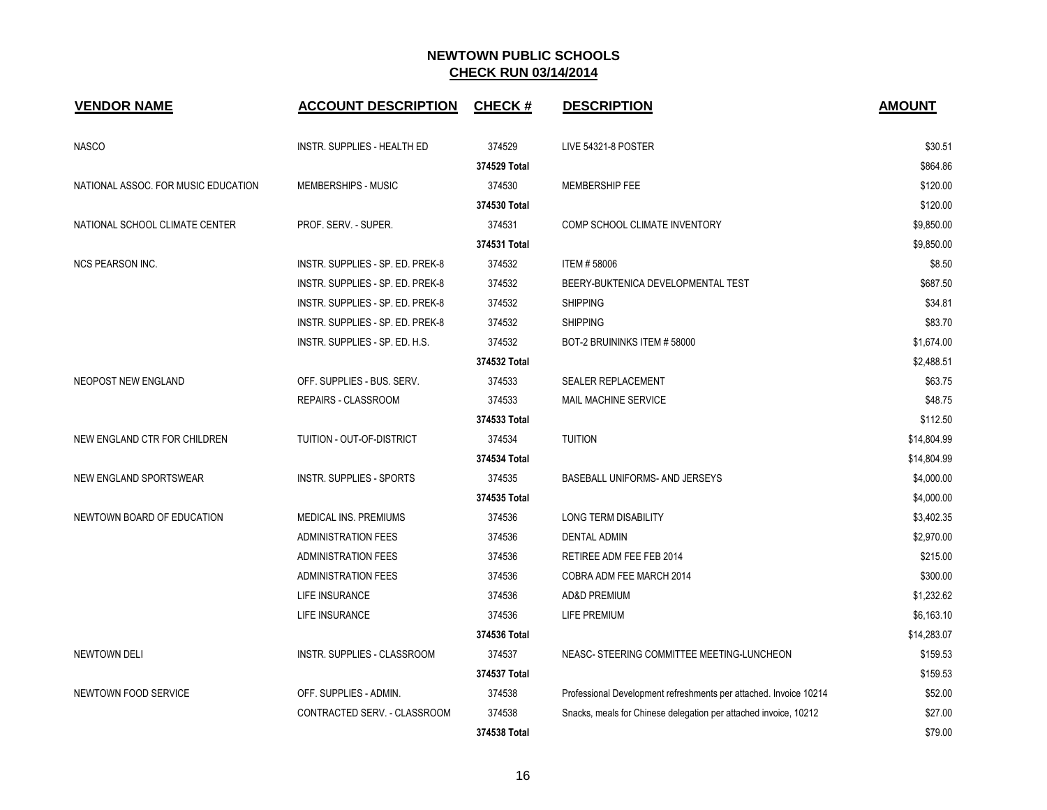| <b>VENDOR NAME</b>                  | <b>ACCOUNT DESCRIPTION</b>       | <b>CHECK#</b> | <b>DESCRIPTION</b>                                                | <b>AMOUNT</b> |
|-------------------------------------|----------------------------------|---------------|-------------------------------------------------------------------|---------------|
| <b>NASCO</b>                        | INSTR. SUPPLIES - HEALTH ED      | 374529        | <b>LIVE 54321-8 POSTER</b>                                        | \$30.51       |
|                                     |                                  | 374529 Total  |                                                                   | \$864.86      |
| NATIONAL ASSOC. FOR MUSIC EDUCATION | MEMBERSHIPS - MUSIC              | 374530        | MEMBERSHIP FEE                                                    | \$120.00      |
|                                     |                                  | 374530 Total  |                                                                   | \$120.00      |
| NATIONAL SCHOOL CLIMATE CENTER      | PROF. SERV. - SUPER.             | 374531        | COMP SCHOOL CLIMATE INVENTORY                                     | \$9,850.00    |
|                                     |                                  | 374531 Total  |                                                                   | \$9,850.00    |
| <b>NCS PEARSON INC.</b>             | INSTR. SUPPLIES - SP. ED. PREK-8 | 374532        | <b>ITEM #58006</b>                                                | \$8.50        |
|                                     | INSTR. SUPPLIES - SP. ED. PREK-8 | 374532        | BEERY-BUKTENICA DEVELOPMENTAL TEST                                | \$687.50      |
|                                     | INSTR. SUPPLIES - SP. ED. PREK-8 | 374532        | <b>SHIPPING</b>                                                   | \$34.81       |
|                                     | INSTR. SUPPLIES - SP. ED. PREK-8 | 374532        | <b>SHIPPING</b>                                                   | \$83.70       |
|                                     | INSTR. SUPPLIES - SP. ED. H.S.   | 374532        | BOT-2 BRUININKS ITEM #58000                                       | \$1,674.00    |
|                                     |                                  | 374532 Total  |                                                                   | \$2,488.51    |
| <b>NEOPOST NEW ENGLAND</b>          | OFF. SUPPLIES - BUS. SERV.       | 374533        | SEALER REPLACEMENT                                                | \$63.75       |
|                                     | REPAIRS - CLASSROOM              | 374533        | MAIL MACHINE SERVICE                                              | \$48.75       |
|                                     |                                  | 374533 Total  |                                                                   | \$112.50      |
| NEW ENGLAND CTR FOR CHILDREN        | TUITION - OUT-OF-DISTRICT        | 374534        | <b>TUITION</b>                                                    | \$14,804.99   |
|                                     |                                  | 374534 Total  |                                                                   | \$14,804.99   |
| NEW ENGLAND SPORTSWEAR              | <b>INSTR. SUPPLIES - SPORTS</b>  | 374535        | BASEBALL UNIFORMS- AND JERSEYS                                    | \$4,000.00    |
|                                     |                                  | 374535 Total  |                                                                   | \$4,000.00    |
| NEWTOWN BOARD OF EDUCATION          | <b>MEDICAL INS. PREMIUMS</b>     | 374536        | <b>LONG TERM DISABILITY</b>                                       | \$3,402.35    |
|                                     | <b>ADMINISTRATION FEES</b>       | 374536        | <b>DENTAL ADMIN</b>                                               | \$2,970.00    |
|                                     | <b>ADMINISTRATION FEES</b>       | 374536        | RETIREE ADM FEE FEB 2014                                          | \$215.00      |
|                                     | <b>ADMINISTRATION FEES</b>       | 374536        | COBRA ADM FEE MARCH 2014                                          | \$300.00      |
|                                     | LIFE INSURANCE                   | 374536        | <b>AD&amp;D PREMIUM</b>                                           | \$1,232.62    |
|                                     | <b>LIFE INSURANCE</b>            | 374536        | LIFE PREMIUM                                                      | \$6,163.10    |
|                                     |                                  | 374536 Total  |                                                                   | \$14,283.07   |
| <b>NEWTOWN DELI</b>                 | INSTR. SUPPLIES - CLASSROOM      | 374537        | NEASC- STEERING COMMITTEE MEETING-LUNCHEON                        | \$159.53      |
|                                     |                                  | 374537 Total  |                                                                   | \$159.53      |
| NEWTOWN FOOD SERVICE                | OFF. SUPPLIES - ADMIN.           | 374538        | Professional Development refreshments per attached. Invoice 10214 | \$52.00       |
|                                     | CONTRACTED SERV. - CLASSROOM     | 374538        | Snacks, meals for Chinese delegation per attached invoice, 10212  | \$27.00       |
|                                     |                                  | 374538 Total  |                                                                   | \$79.00       |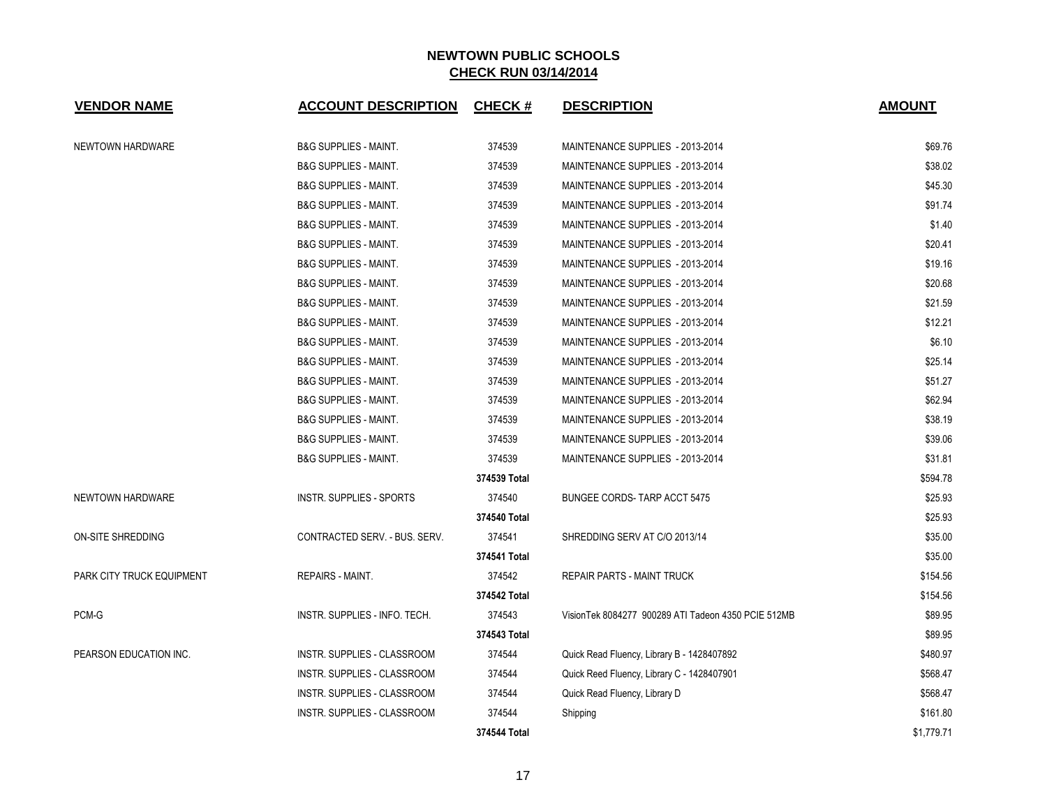| <b>VENDOR NAME</b>        | <b>ACCOUNT DESCRIPTION</b>         | <b>CHECK#</b> | <b>DESCRIPTION</b>                                   | <b>AMOUNT</b> |
|---------------------------|------------------------------------|---------------|------------------------------------------------------|---------------|
| NEWTOWN HARDWARE          | <b>B&amp;G SUPPLIES - MAINT.</b>   | 374539        | MAINTENANCE SUPPLIES - 2013-2014                     | \$69.76       |
|                           | <b>B&amp;G SUPPLIES - MAINT.</b>   | 374539        | MAINTENANCE SUPPLIES - 2013-2014                     | \$38.02       |
|                           | <b>B&amp;G SUPPLIES - MAINT.</b>   | 374539        | MAINTENANCE SUPPLIES - 2013-2014                     | \$45.30       |
|                           | <b>B&amp;G SUPPLIES - MAINT.</b>   | 374539        | MAINTENANCE SUPPLIES - 2013-2014                     | \$91.74       |
|                           | <b>B&amp;G SUPPLIES - MAINT.</b>   | 374539        | MAINTENANCE SUPPLIES - 2013-2014                     | \$1.40        |
|                           | <b>B&amp;G SUPPLIES - MAINT.</b>   | 374539        | MAINTENANCE SUPPLIES - 2013-2014                     | \$20.41       |
|                           | <b>B&amp;G SUPPLIES - MAINT.</b>   | 374539        | MAINTENANCE SUPPLIES - 2013-2014                     | \$19.16       |
|                           | <b>B&amp;G SUPPLIES - MAINT.</b>   | 374539        | MAINTENANCE SUPPLIES - 2013-2014                     | \$20.68       |
|                           | <b>B&amp;G SUPPLIES - MAINT.</b>   | 374539        | MAINTENANCE SUPPLIES - 2013-2014                     | \$21.59       |
|                           | <b>B&amp;G SUPPLIES - MAINT.</b>   | 374539        | MAINTENANCE SUPPLIES - 2013-2014                     | \$12.21       |
|                           | <b>B&amp;G SUPPLIES - MAINT.</b>   | 374539        | MAINTENANCE SUPPLIES - 2013-2014                     | \$6.10        |
|                           | <b>B&amp;G SUPPLIES - MAINT.</b>   | 374539        | MAINTENANCE SUPPLIES - 2013-2014                     | \$25.14       |
|                           | <b>B&amp;G SUPPLIES - MAINT.</b>   | 374539        | MAINTENANCE SUPPLIES - 2013-2014                     | \$51.27       |
|                           | <b>B&amp;G SUPPLIES - MAINT.</b>   | 374539        | MAINTENANCE SUPPLIES - 2013-2014                     | \$62.94       |
|                           | <b>B&amp;G SUPPLIES - MAINT.</b>   | 374539        | MAINTENANCE SUPPLIES - 2013-2014                     | \$38.19       |
|                           | <b>B&amp;G SUPPLIES - MAINT.</b>   | 374539        | MAINTENANCE SUPPLIES - 2013-2014                     | \$39.06       |
|                           | <b>B&amp;G SUPPLIES - MAINT.</b>   | 374539        | MAINTENANCE SUPPLIES - 2013-2014                     | \$31.81       |
|                           |                                    | 374539 Total  |                                                      | \$594.78      |
| <b>NEWTOWN HARDWARE</b>   | <b>INSTR. SUPPLIES - SPORTS</b>    | 374540        | BUNGEE CORDS-TARP ACCT 5475                          | \$25.93       |
|                           |                                    | 374540 Total  |                                                      | \$25.93       |
| ON-SITE SHREDDING         | CONTRACTED SERV. - BUS. SERV.      | 374541        | SHREDDING SERV AT C/O 2013/14                        | \$35.00       |
|                           |                                    | 374541 Total  |                                                      | \$35.00       |
| PARK CITY TRUCK EQUIPMENT | <b>REPAIRS - MAINT.</b>            | 374542        | <b>REPAIR PARTS - MAINT TRUCK</b>                    | \$154.56      |
|                           |                                    | 374542 Total  |                                                      | \$154.56      |
| PCM-G                     | INSTR. SUPPLIES - INFO. TECH.      | 374543        | Vision Tek 8084277 900289 ATI Tadeon 4350 PCIE 512MB | \$89.95       |
|                           |                                    | 374543 Total  |                                                      | \$89.95       |
| PEARSON EDUCATION INC.    | INSTR. SUPPLIES - CLASSROOM        | 374544        | Quick Read Fluency, Library B - 1428407892           | \$480.97      |
|                           | INSTR. SUPPLIES - CLASSROOM        | 374544        | Quick Reed Fluency, Library C - 1428407901           | \$568.47      |
|                           | INSTR. SUPPLIES - CLASSROOM        | 374544        | Quick Read Fluency, Library D                        | \$568.47      |
|                           | <b>INSTR. SUPPLIES - CLASSROOM</b> | 374544        | Shipping                                             | \$161.80      |
|                           |                                    | 374544 Total  |                                                      | \$1,779.71    |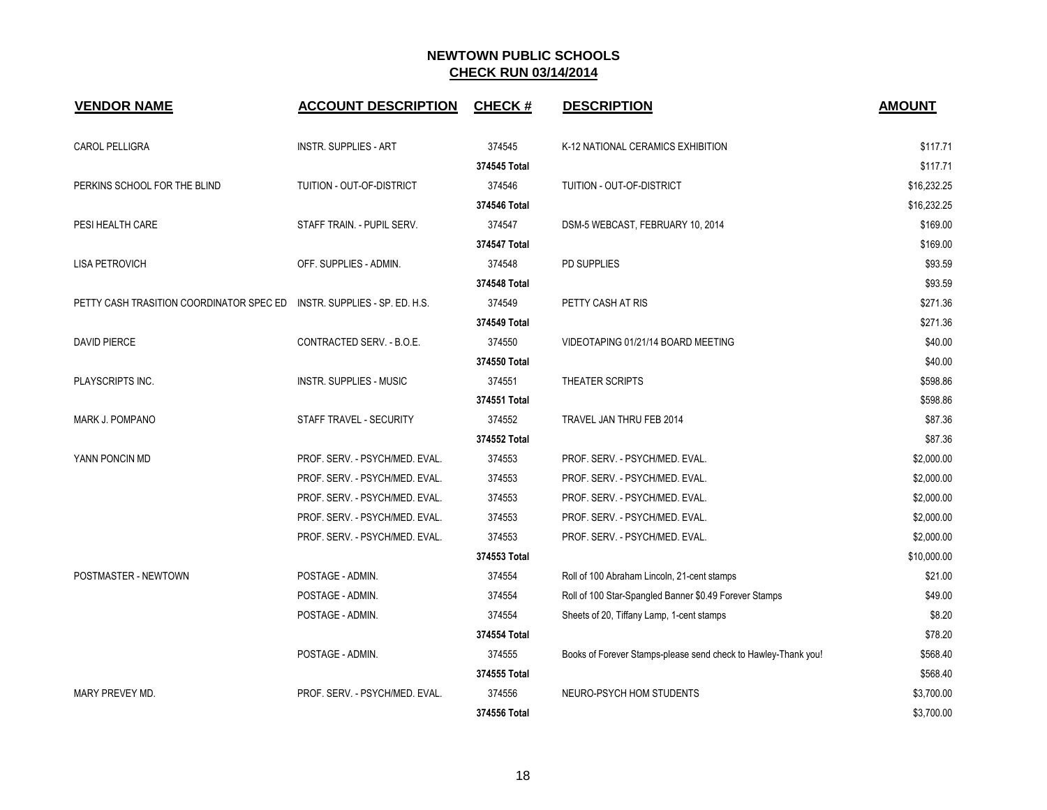| <b>VENDOR NAME</b>                                                      | <b>ACCOUNT DESCRIPTION</b>     | <b>CHECK#</b> | <b>DESCRIPTION</b>                                             | <b>AMOUNT</b> |
|-------------------------------------------------------------------------|--------------------------------|---------------|----------------------------------------------------------------|---------------|
| CAROL PELLIGRA                                                          | <b>INSTR. SUPPLIES - ART</b>   | 374545        | K-12 NATIONAL CERAMICS EXHIBITION                              | \$117.71      |
|                                                                         |                                | 374545 Total  |                                                                | \$117.71      |
| PERKINS SCHOOL FOR THE BLIND                                            | TUITION - OUT-OF-DISTRICT      | 374546        | TUITION - OUT-OF-DISTRICT                                      | \$16,232.25   |
|                                                                         |                                | 374546 Total  |                                                                | \$16,232.25   |
| PESI HEALTH CARE                                                        | STAFF TRAIN. - PUPIL SERV.     | 374547        | DSM-5 WEBCAST, FEBRUARY 10, 2014                               | \$169.00      |
|                                                                         |                                | 374547 Total  |                                                                | \$169.00      |
| <b>LISA PETROVICH</b>                                                   | OFF. SUPPLIES - ADMIN.         | 374548        | PD SUPPLIES                                                    | \$93.59       |
|                                                                         |                                | 374548 Total  |                                                                | \$93.59       |
| PETTY CASH TRASITION COORDINATOR SPEC ED INSTR. SUPPLIES - SP. ED. H.S. |                                | 374549        | PETTY CASH AT RIS                                              | \$271.36      |
|                                                                         |                                | 374549 Total  |                                                                | \$271.36      |
| <b>DAVID PIERCE</b>                                                     | CONTRACTED SERV. - B.O.E.      | 374550        | VIDEOTAPING 01/21/14 BOARD MEETING                             | \$40.00       |
|                                                                         |                                | 374550 Total  |                                                                | \$40.00       |
| PLAYSCRIPTS INC.                                                        | <b>INSTR. SUPPLIES - MUSIC</b> | 374551        | THEATER SCRIPTS                                                | \$598.86      |
|                                                                         |                                | 374551 Total  |                                                                | \$598.86      |
| MARK J. POMPANO                                                         | STAFF TRAVEL - SECURITY        | 374552        | TRAVEL JAN THRU FEB 2014                                       | \$87.36       |
|                                                                         |                                | 374552 Total  |                                                                | \$87.36       |
| YANN PONCIN MD                                                          | PROF. SERV. - PSYCH/MED. EVAL. | 374553        | PROF. SERV. - PSYCH/MED. EVAL.                                 | \$2,000.00    |
|                                                                         | PROF. SERV. - PSYCH/MED. EVAL. | 374553        | PROF. SERV. - PSYCH/MED. EVAL.                                 | \$2,000.00    |
|                                                                         | PROF. SERV. - PSYCH/MED. EVAL. | 374553        | PROF. SERV. - PSYCH/MED. EVAL.                                 | \$2,000.00    |
|                                                                         | PROF. SERV. - PSYCH/MED. EVAL. | 374553        | PROF. SERV. - PSYCH/MED. EVAL.                                 | \$2,000.00    |
|                                                                         | PROF. SERV. - PSYCH/MED. EVAL. | 374553        | PROF. SERV. - PSYCH/MED. EVAL.                                 | \$2,000.00    |
|                                                                         |                                | 374553 Total  |                                                                | \$10,000.00   |
| POSTMASTER - NEWTOWN                                                    | POSTAGE - ADMIN.               | 374554        | Roll of 100 Abraham Lincoln, 21-cent stamps                    | \$21.00       |
|                                                                         | POSTAGE - ADMIN.               | 374554        | Roll of 100 Star-Spangled Banner \$0.49 Forever Stamps         | \$49.00       |
|                                                                         | POSTAGE - ADMIN.               | 374554        | Sheets of 20, Tiffany Lamp, 1-cent stamps                      | \$8.20        |
|                                                                         |                                | 374554 Total  |                                                                | \$78.20       |
|                                                                         | POSTAGE - ADMIN.               | 374555        | Books of Forever Stamps-please send check to Hawley-Thank you! | \$568.40      |
|                                                                         |                                | 374555 Total  |                                                                | \$568.40      |
| MARY PREVEY MD.                                                         | PROF. SERV. - PSYCH/MED. EVAL. | 374556        | NEURO-PSYCH HOM STUDENTS                                       | \$3,700.00    |
|                                                                         |                                | 374556 Total  |                                                                | \$3,700.00    |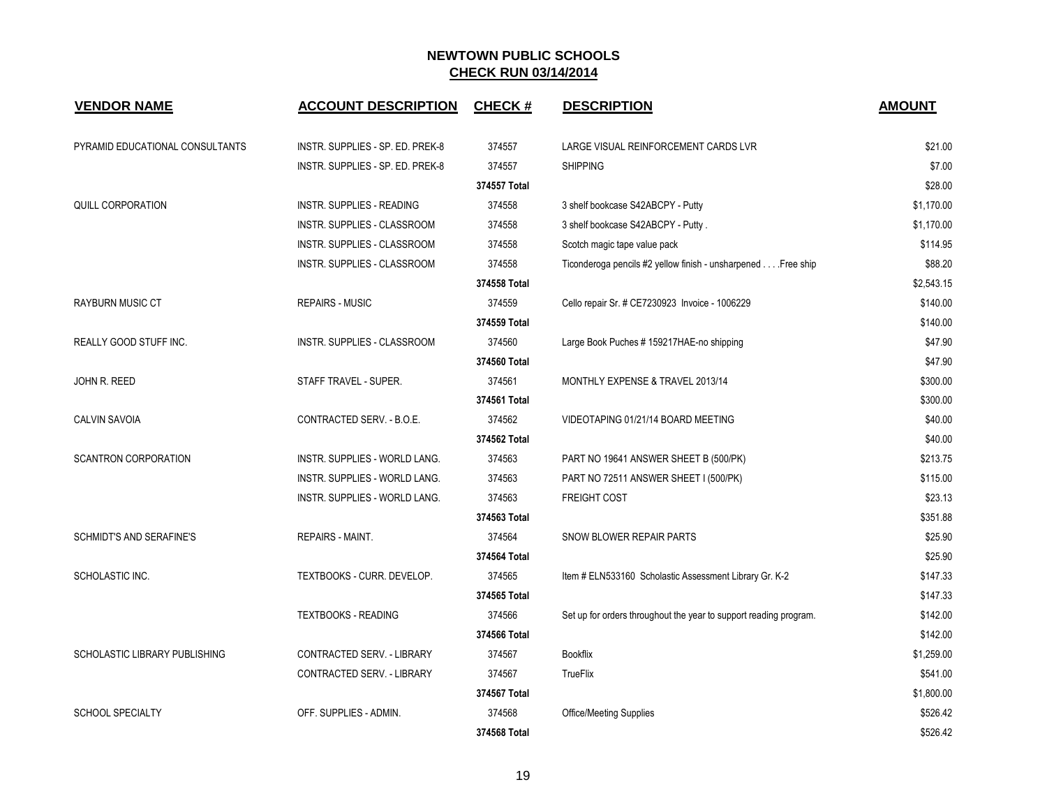| <b>VENDOR NAME</b>                   | <b>ACCOUNT DESCRIPTION</b>         | <b>CHECK#</b> | <b>DESCRIPTION</b>                                                | <b>AMOUNT</b> |
|--------------------------------------|------------------------------------|---------------|-------------------------------------------------------------------|---------------|
| PYRAMID EDUCATIONAL CONSULTANTS      | INSTR. SUPPLIES - SP. ED. PREK-8   | 374557        | LARGE VISUAL REINFORCEMENT CARDS LVR                              | \$21.00       |
|                                      | INSTR. SUPPLIES - SP. ED. PREK-8   | 374557        | <b>SHIPPING</b>                                                   | \$7.00        |
|                                      |                                    | 374557 Total  |                                                                   | \$28.00       |
| <b>QUILL CORPORATION</b>             | INSTR. SUPPLIES - READING          | 374558        | 3 shelf bookcase S42ABCPY - Putty                                 | \$1,170.00    |
|                                      | <b>INSTR. SUPPLIES - CLASSROOM</b> | 374558        | 3 shelf bookcase S42ABCPY - Putty.                                | \$1.170.00    |
|                                      | INSTR. SUPPLIES - CLASSROOM        | 374558        | Scotch magic tape value pack                                      | \$114.95      |
|                                      | INSTR. SUPPLIES - CLASSROOM        | 374558        | Ticonderoga pencils #2 yellow finish - unsharpened Free ship      | \$88.20       |
|                                      |                                    | 374558 Total  |                                                                   | \$2,543.15    |
| <b>RAYBURN MUSIC CT</b>              | <b>REPAIRS - MUSIC</b>             | 374559        | Cello repair Sr. # CE7230923 Invoice - 1006229                    | \$140.00      |
|                                      |                                    | 374559 Total  |                                                                   | \$140.00      |
| <b>REALLY GOOD STUFF INC.</b>        | <b>INSTR. SUPPLIES - CLASSROOM</b> | 374560        | Large Book Puches # 159217HAE-no shipping                         | \$47.90       |
|                                      |                                    | 374560 Total  |                                                                   | \$47.90       |
| JOHN R. REED                         | STAFF TRAVEL - SUPER.              | 374561        | MONTHLY EXPENSE & TRAVEL 2013/14                                  | \$300.00      |
|                                      |                                    | 374561 Total  |                                                                   | \$300.00      |
| <b>CALVIN SAVOIA</b>                 | CONTRACTED SERV. - B.O.E.          | 374562        | VIDEOTAPING 01/21/14 BOARD MEETING                                | \$40.00       |
|                                      |                                    | 374562 Total  |                                                                   | \$40.00       |
| <b>SCANTRON CORPORATION</b>          | INSTR. SUPPLIES - WORLD LANG.      | 374563        | PART NO 19641 ANSWER SHEET B (500/PK)                             | \$213.75      |
|                                      | INSTR. SUPPLIES - WORLD LANG.      | 374563        | PART NO 72511 ANSWER SHEET I (500/PK)                             | \$115.00      |
|                                      | INSTR. SUPPLIES - WORLD LANG.      | 374563        | <b>FREIGHT COST</b>                                               | \$23.13       |
|                                      |                                    | 374563 Total  |                                                                   | \$351.88      |
| <b>SCHMIDT'S AND SERAFINE'S</b>      | <b>REPAIRS - MAINT.</b>            | 374564        | SNOW BLOWER REPAIR PARTS                                          | \$25.90       |
|                                      |                                    | 374564 Total  |                                                                   | \$25.90       |
| SCHOLASTIC INC.                      | TEXTBOOKS - CURR. DEVELOP.         | 374565        | Item # ELN533160 Scholastic Assessment Library Gr. K-2            | \$147.33      |
|                                      |                                    | 374565 Total  |                                                                   | \$147.33      |
|                                      | <b>TEXTBOOKS - READING</b>         | 374566        | Set up for orders throughout the year to support reading program. | \$142.00      |
|                                      |                                    | 374566 Total  |                                                                   | \$142.00      |
| <b>SCHOLASTIC LIBRARY PUBLISHING</b> | CONTRACTED SERV. - LIBRARY         | 374567        | <b>Bookflix</b>                                                   | \$1,259.00    |
|                                      | CONTRACTED SERV. - LIBRARY         | 374567        | TrueFlix                                                          | \$541.00      |
|                                      |                                    | 374567 Total  |                                                                   | \$1,800.00    |
| <b>SCHOOL SPECIALTY</b>              | OFF. SUPPLIES - ADMIN.             | 374568        | Office/Meeting Supplies                                           | \$526.42      |
|                                      |                                    | 374568 Total  |                                                                   | \$526.42      |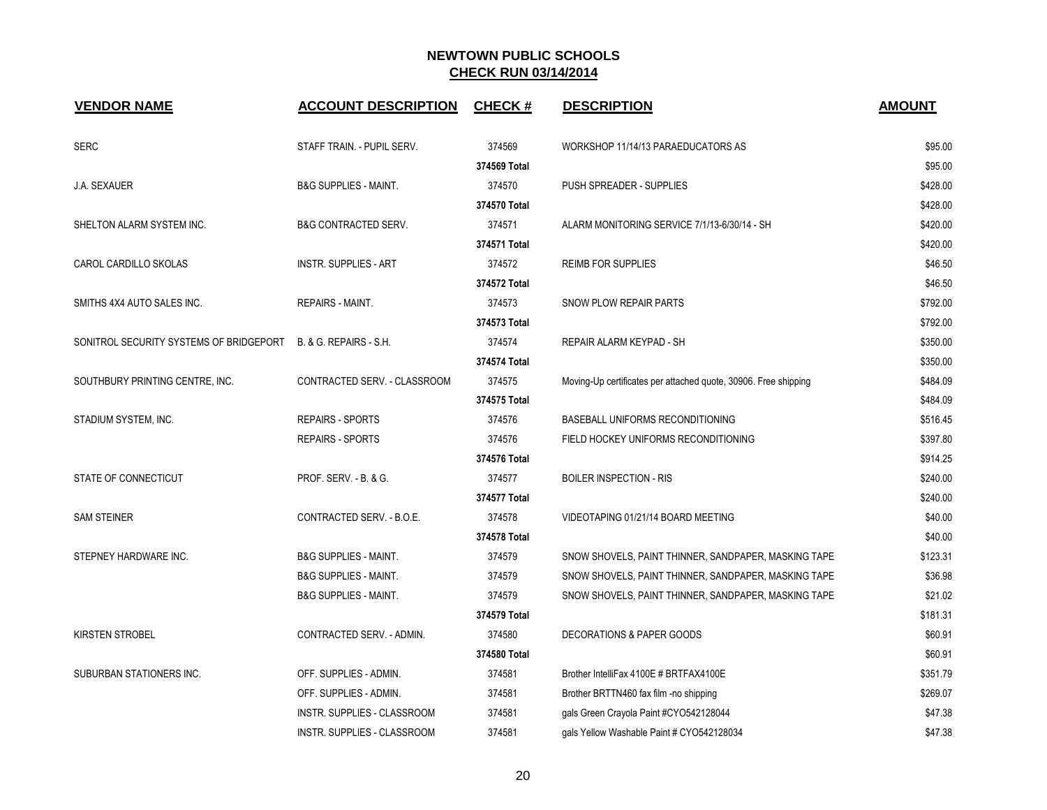| <b>VENDOR NAME</b>                      | <b>ACCOUNT DESCRIPTION</b>       | <b>CHECK#</b> | <b>DESCRIPTION</b>                                              | <b>AMOUNT</b> |
|-----------------------------------------|----------------------------------|---------------|-----------------------------------------------------------------|---------------|
| <b>SERC</b>                             | STAFF TRAIN. - PUPIL SERV.       | 374569        | WORKSHOP 11/14/13 PARAEDUCATORS AS                              | \$95.00       |
|                                         |                                  | 374569 Total  |                                                                 | \$95.00       |
| J.A. SEXAUER                            | <b>B&amp;G SUPPLIES - MAINT.</b> | 374570        | PUSH SPREADER - SUPPLIES                                        | \$428.00      |
|                                         |                                  | 374570 Total  |                                                                 | \$428.00      |
| SHELTON ALARM SYSTEM INC.               | <b>B&amp;G CONTRACTED SERV.</b>  | 374571        | ALARM MONITORING SERVICE 7/1/13-6/30/14 - SH                    | \$420.00      |
|                                         |                                  | 374571 Total  |                                                                 | \$420.00      |
| CAROL CARDILLO SKOLAS                   | <b>INSTR. SUPPLIES - ART</b>     | 374572        | <b>REIMB FOR SUPPLIES</b>                                       | \$46.50       |
|                                         |                                  | 374572 Total  |                                                                 | \$46.50       |
| SMITHS 4X4 AUTO SALES INC.              | <b>REPAIRS - MAINT.</b>          | 374573        | SNOW PLOW REPAIR PARTS                                          | \$792.00      |
|                                         |                                  | 374573 Total  |                                                                 | \$792.00      |
| SONITROL SECURITY SYSTEMS OF BRIDGEPORT | B. & G. REPAIRS - S.H.           | 374574        | REPAIR ALARM KEYPAD - SH                                        | \$350.00      |
|                                         |                                  | 374574 Total  |                                                                 | \$350.00      |
| SOUTHBURY PRINTING CENTRE, INC.         | CONTRACTED SERV. - CLASSROOM     | 374575        | Moving-Up certificates per attached quote, 30906. Free shipping | \$484.09      |
|                                         |                                  | 374575 Total  |                                                                 | \$484.09      |
| STADIUM SYSTEM, INC.                    | <b>REPAIRS - SPORTS</b>          | 374576        | BASEBALL UNIFORMS RECONDITIONING                                | \$516.45      |
|                                         | <b>REPAIRS - SPORTS</b>          | 374576        | FIELD HOCKEY UNIFORMS RECONDITIONING                            | \$397.80      |
|                                         |                                  | 374576 Total  |                                                                 | \$914.25      |
| STATE OF CONNECTICUT                    | PROF. SERV. - B. & G.            | 374577        | <b>BOILER INSPECTION - RIS</b>                                  | \$240.00      |
|                                         |                                  | 374577 Total  |                                                                 | \$240.00      |
| <b>SAM STEINER</b>                      | CONTRACTED SERV. - B.O.E.        | 374578        | VIDEOTAPING 01/21/14 BOARD MEETING                              | \$40.00       |
|                                         |                                  | 374578 Total  |                                                                 | \$40.00       |
| STEPNEY HARDWARE INC.                   | <b>B&amp;G SUPPLIES - MAINT.</b> | 374579        | SNOW SHOVELS, PAINT THINNER, SANDPAPER, MASKING TAPE            | \$123.31      |
|                                         | <b>B&amp;G SUPPLIES - MAINT.</b> | 374579        | SNOW SHOVELS, PAINT THINNER, SANDPAPER, MASKING TAPE            | \$36.98       |
|                                         | <b>B&amp;G SUPPLIES - MAINT.</b> | 374579        | SNOW SHOVELS, PAINT THINNER, SANDPAPER, MASKING TAPE            | \$21.02       |
|                                         |                                  | 374579 Total  |                                                                 | \$181.31      |
| <b>KIRSTEN STROBEL</b>                  | CONTRACTED SERV. - ADMIN.        | 374580        | <b>DECORATIONS &amp; PAPER GOODS</b>                            | \$60.91       |
|                                         |                                  | 374580 Total  |                                                                 | \$60.91       |
| SUBURBAN STATIONERS INC.                | OFF. SUPPLIES - ADMIN.           | 374581        | Brother IntelliFax 4100E # BRTFAX4100E                          | \$351.79      |
|                                         | OFF. SUPPLIES - ADMIN.           | 374581        | Brother BRTTN460 fax film -no shipping                          | \$269.07      |
|                                         | INSTR. SUPPLIES - CLASSROOM      | 374581        | gals Green Crayola Paint #CYO542128044                          | \$47.38       |
|                                         | INSTR. SUPPLIES - CLASSROOM      | 374581        | gals Yellow Washable Paint # CYO542128034                       | \$47.38       |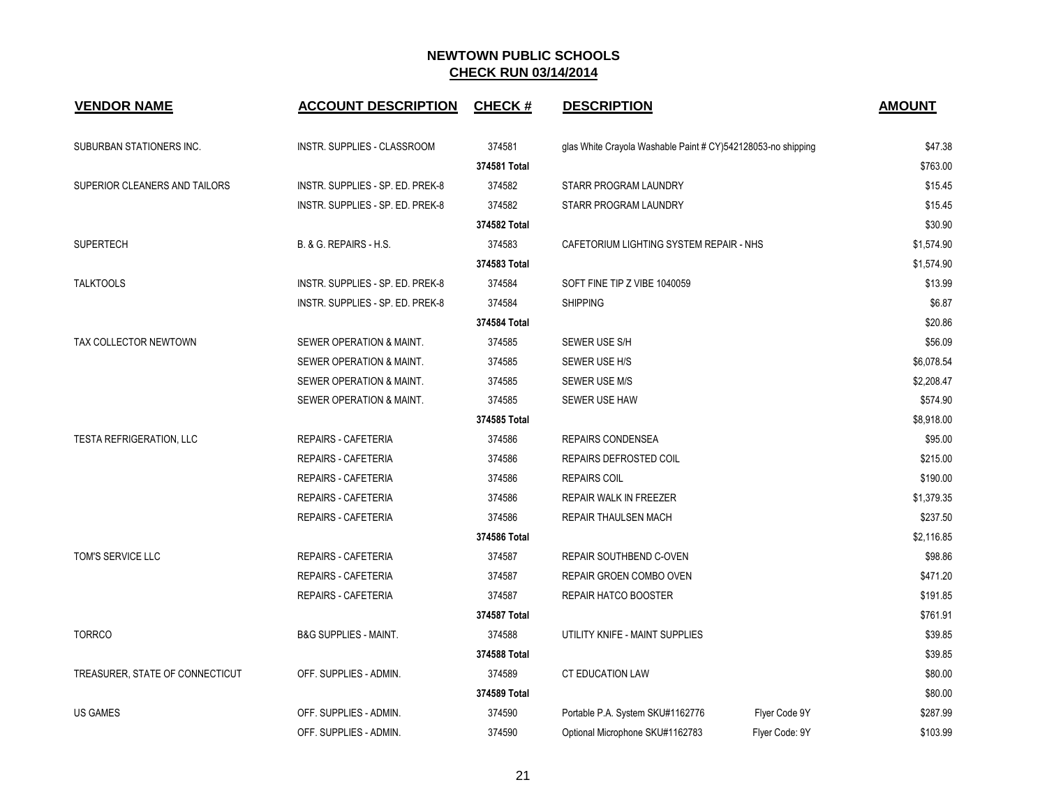| <b>VENDOR NAME</b>              | <b>ACCOUNT DESCRIPTION</b>       | <b>CHECK#</b> | <b>DESCRIPTION</b>                                           | <b>AMOUNT</b>              |
|---------------------------------|----------------------------------|---------------|--------------------------------------------------------------|----------------------------|
| SUBURBAN STATIONERS INC.        | INSTR. SUPPLIES - CLASSROOM      | 374581        | glas White Crayola Washable Paint # CY)542128053-no shipping | \$47.38                    |
|                                 |                                  | 374581 Total  |                                                              | \$763.00                   |
| SUPERIOR CLEANERS AND TAILORS   | INSTR. SUPPLIES - SP. ED. PREK-8 | 374582        | STARR PROGRAM LAUNDRY                                        | \$15.45                    |
|                                 | INSTR. SUPPLIES - SP. ED. PREK-8 | 374582        | STARR PROGRAM LAUNDRY                                        | \$15.45                    |
|                                 |                                  | 374582 Total  |                                                              | \$30.90                    |
| <b>SUPERTECH</b>                | B. & G. REPAIRS - H.S.           | 374583        | CAFETORIUM LIGHTING SYSTEM REPAIR - NHS                      | \$1,574.90                 |
|                                 |                                  | 374583 Total  |                                                              | \$1,574.90                 |
| <b>TALKTOOLS</b>                | INSTR. SUPPLIES - SP. ED. PREK-8 | 374584        | SOFT FINE TIP Z VIBE 1040059                                 | \$13.99                    |
|                                 | INSTR. SUPPLIES - SP. ED. PREK-8 | 374584        | <b>SHIPPING</b>                                              | \$6.87                     |
|                                 |                                  | 374584 Total  |                                                              | \$20.86                    |
| TAX COLLECTOR NEWTOWN           | SEWER OPERATION & MAINT.         | 374585        | SEWER USE S/H                                                | \$56.09                    |
|                                 | SEWER OPERATION & MAINT.         | 374585        | SEWER USE H/S                                                | \$6,078.54                 |
|                                 | SEWER OPERATION & MAINT.         | 374585        | SEWER USE M/S                                                | \$2,208.47                 |
|                                 | SEWER OPERATION & MAINT.         | 374585        | SEWER USE HAW                                                | \$574.90                   |
|                                 |                                  | 374585 Total  |                                                              | \$8,918.00                 |
| <b>TESTA REFRIGERATION, LLC</b> | <b>REPAIRS - CAFETERIA</b>       | 374586        | REPAIRS CONDENSEA                                            | \$95.00                    |
|                                 | REPAIRS - CAFETERIA              | 374586        | REPAIRS DEFROSTED COIL                                       | \$215.00                   |
|                                 | <b>REPAIRS - CAFETERIA</b>       | 374586        | <b>REPAIRS COIL</b>                                          | \$190.00                   |
|                                 | <b>REPAIRS - CAFETERIA</b>       | 374586        | REPAIR WALK IN FREEZER                                       | \$1,379.35                 |
|                                 | <b>REPAIRS - CAFETERIA</b>       | 374586        | REPAIR THAULSEN MACH                                         | \$237.50                   |
|                                 |                                  | 374586 Total  |                                                              | \$2,116.85                 |
| TOM'S SERVICE LLC               | <b>REPAIRS - CAFETERIA</b>       | 374587        | REPAIR SOUTHBEND C-OVEN                                      | \$98.86                    |
|                                 | <b>REPAIRS - CAFETERIA</b>       | 374587        | REPAIR GROEN COMBO OVEN                                      | \$471.20                   |
|                                 | <b>REPAIRS - CAFETERIA</b>       | 374587        | <b>REPAIR HATCO BOOSTER</b>                                  | \$191.85                   |
|                                 |                                  | 374587 Total  |                                                              | \$761.91                   |
| <b>TORRCO</b>                   | <b>B&amp;G SUPPLIES - MAINT.</b> | 374588        | UTILITY KNIFE - MAINT SUPPLIES                               | \$39.85                    |
|                                 |                                  | 374588 Total  |                                                              | \$39.85                    |
| TREASURER, STATE OF CONNECTICUT | OFF. SUPPLIES - ADMIN.           | 374589        | <b>CT EDUCATION LAW</b>                                      | \$80.00                    |
|                                 |                                  | 374589 Total  |                                                              | \$80.00                    |
| <b>US GAMES</b>                 | OFF. SUPPLIES - ADMIN.           | 374590        | Portable P.A. System SKU#1162776                             | \$287.99<br>Flyer Code 9Y  |
|                                 | OFF. SUPPLIES - ADMIN.           | 374590        | Optional Microphone SKU#1162783                              | Flyer Code: 9Y<br>\$103.99 |